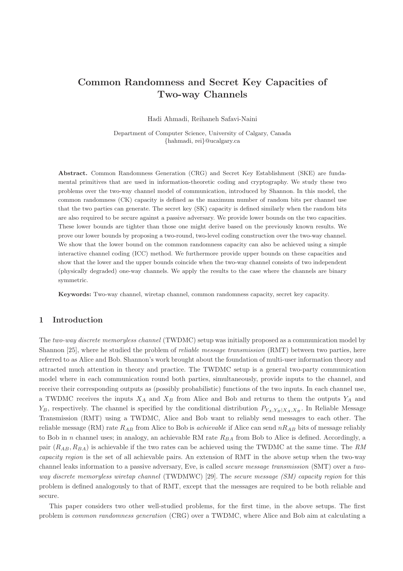# Common Randomness and Secret Key Capacities of Two-way Channels

Hadi Ahmadi, Reihaneh Safavi-Naini

Department of Computer Science, University of Calgary, Canada {hahmadi, rei}@ucalgary.ca

Abstract. Common Randomness Generation (CRG) and Secret Key Establishment (SKE) are fundamental primitives that are used in information-theoretic coding and cryptography. We study these two problems over the two-way channel model of communication, introduced by Shannon. In this model, the common randomness (CK) capacity is defined as the maximum number of random bits per channel use that the two parties can generate. The secret key (SK) capacity is defined similarly when the random bits are also required to be secure against a passive adversary. We provide lower bounds on the two capacities. These lower bounds are tighter than those one might derive based on the previously known results. We prove our lower bounds by proposing a two-round, two-level coding construction over the two-way channel. We show that the lower bound on the common randomness capacity can also be achieved using a simple interactive channel coding (ICC) method. We furthermore provide upper bounds on these capacities and show that the lower and the upper bounds coincide when the two-way channel consists of two independent (physically degraded) one-way channels. We apply the results to the case where the channels are binary symmetric.

Keywords: Two-way channel, wiretap channel, common randomness capacity, secret key capacity.

# 1 Introduction

The two-way discrete memoryless channel (TWDMC) setup was initially proposed as a communication model by Shannon [25], where he studied the problem of *reliable message transmission* (RMT) between two parties, here referred to as Alice and Bob. Shannon's work brought about the foundation of multi-user information theory and attracted much attention in theory and practice. The TWDMC setup is a general two-party communication model where in each communication round both parties, simultaneously, provide inputs to the channel, and receive their corresponding outputs as (possibly probabilistic) functions of the two inputs. In each channel use, a TWDMC receives the inputs  $X_A$  and  $X_B$  from Alice and Bob and returns to them the outputs  $Y_A$  and  $Y_B$ , respectively. The channel is specified by the conditional distribution  $P_{Y_A,Y_B|X_A,X_B}$ . In Reliable Message Transmission (RMT) using a TWDMC, Alice and Bob want to reliably send messages to each other. The reliable message (RM) rate  $R_{AB}$  from Alice to Bob is *achievable* if Alice can send  $nR_{AB}$  bits of message reliably to Bob in n channel uses; in analogy, an achievable RM rate  $R_{BA}$  from Bob to Alice is defined. Accordingly, a pair  $(R_{AB}, R_{BA})$  is achievable if the two rates can be achieved using the TWDMC at the same time. The RM capacity region is the set of all achievable pairs. An extension of RMT in the above setup when the two-way channel leaks information to a passive adversary, Eve, is called secure message transmission (SMT) over a twoway discrete memoryless wiretap channel (TWDMWC) [29]. The secure message (SM) capacity region for this problem is defined analogously to that of RMT, except that the messages are required to be both reliable and secure.

This paper considers two other well-studied problems, for the first time, in the above setups. The first problem is common randomness generation (CRG) over a TWDMC, where Alice and Bob aim at calculating a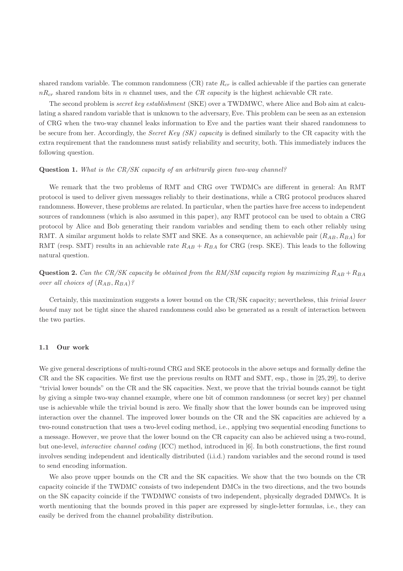shared random variable. The common randomness  $(CR)$  rate  $R_{cr}$  is called achievable if the parties can generate  $nR_{cr}$  shared random bits in n channel uses, and the CR capacity is the highest achievable CR rate.

The second problem is *secret key establishment* (SKE) over a TWDMWC, where Alice and Bob aim at calculating a shared random variable that is unknown to the adversary, Eve. This problem can be seen as an extension of CRG when the two-way channel leaks information to Eve and the parties want their shared randomness to be secure from her. Accordingly, the *Secret Key (SK) capacity* is defined similarly to the CR capacity with the extra requirement that the randomness must satisfy reliability and security, both. This immediately induces the following question.

### Question 1. What is the CR/SK capacity of an arbitrarily given two-way channel?

We remark that the two problems of RMT and CRG over TWDMCs are different in general: An RMT protocol is used to deliver given messages reliably to their destinations, while a CRG protocol produces shared randomness. However, these problems are related. In particular, when the parties have free access to independent sources of randomness (which is also assumed in this paper), any RMT protocol can be used to obtain a CRG protocol by Alice and Bob generating their random variables and sending them to each other reliably using RMT. A similar argument holds to relate SMT and SKE. As a consequence, an achievable pair  $(R_{AB}, R_{BA})$  for RMT (resp. SMT) results in an achievable rate  $R_{AB} + R_{BA}$  for CRG (resp. SKE). This leads to the following natural question.

**Question 2.** Can the CR/SK capacity be obtained from the RM/SM capacity region by maximizing  $R_{AB} + R_{BA}$ over all choices of  $(R_{AB}, R_{BA})$ ?

Certainly, this maximization suggests a lower bound on the CR/SK capacity; nevertheless, this trivial lower bound may not be tight since the shared randomness could also be generated as a result of interaction between the two parties.

#### 1.1 Our work

We give general descriptions of multi-round CRG and SKE protocols in the above setups and formally define the CR and the SK capacities. We first use the previous results on RMT and SMT, esp., those in [25, 29], to derive "trivial lower bounds" on the CR and the SK capacities. Next, we prove that the trivial bounds cannot be tight by giving a simple two-way channel example, where one bit of common randomness (or secret key) per channel use is achievable while the trivial bound is zero. We finally show that the lower bounds can be improved using interaction over the channel. The improved lower bounds on the CR and the SK capacities are achieved by a two-round construction that uses a two-level coding method, i.e., applying two sequential encoding functions to a message. However, we prove that the lower bound on the CR capacity can also be achieved using a two-round, but one-level, interactive channel coding (ICC) method, introduced in [6]. In both constructions, the first round involves sending independent and identically distributed (i.i.d.) random variables and the second round is used to send encoding information.

We also prove upper bounds on the CR and the SK capacities. We show that the two bounds on the CR capacity coincide if the TWDMC consists of two independent DMCs in the two directions, and the two bounds on the SK capacity coincide if the TWDMWC consists of two independent, physically degraded DMWCs. It is worth mentioning that the bounds proved in this paper are expressed by single-letter formulas, i.e., they can easily be derived from the channel probability distribution.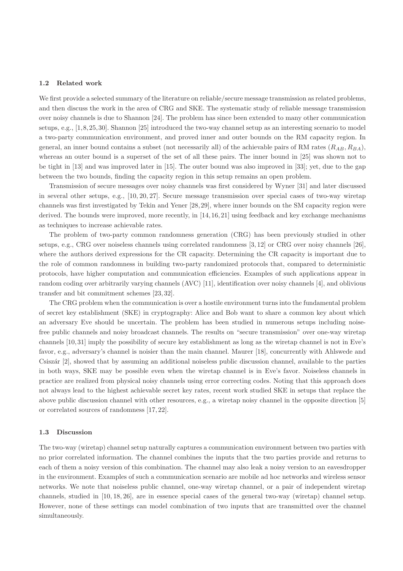#### 1.2 Related work

We first provide a selected summary of the literature on reliable/secure message transmission as related problems, and then discuss the work in the area of CRG and SKE. The systematic study of reliable message transmission over noisy channels is due to Shannon [24]. The problem has since been extended to many other communication setups, e.g., [1,8,25,30]. Shannon [25] introduced the two-way channel setup as an interesting scenario to model a two-party communication environment, and proved inner and outer bounds on the RM capacity region. In general, an inner bound contains a subset (not necessarily all) of the achievable pairs of RM rates  $(R_{AB}, R_{BA})$ , whereas an outer bound is a superset of the set of all these pairs. The inner bound in [25] was shown not to be tight in [13] and was improved later in [15]. The outer bound was also improved in [33]; yet, due to the gap between the two bounds, finding the capacity region in this setup remains an open problem.

Transmission of secure messages over noisy channels was first considered by Wyner [31] and later discussed in several other setups, e.g., [10, 20, 27]. Secure message transmission over special cases of two-way wiretap channels was first investigated by Tekin and Yener [28, 29], where inner bounds on the SM capacity region were derived. The bounds were improved, more recently, in [14, 16, 21] using feedback and key exchange mechanisms as techniques to increase achievable rates.

The problem of two-party common randomness generation (CRG) has been previously studied in other setups, e.g., CRG over noiseless channels using correlated randomness [3, 12] or CRG over noisy channels [26], where the authors derived expressions for the CR capacity. Determining the CR capacity is important due to the role of common randomness in building two-party randomized protocols that, compared to deterministic protocols, have higher computation and communication efficiencies. Examples of such applications appear in random coding over arbitrarily varying channels (AVC) [11], identification over noisy channels [4], and oblivious transfer and bit commitment schemes [23, 32].

The CRG problem when the communication is over a hostile environment turns into the fundamental problem of secret key establishment (SKE) in cryptography: Alice and Bob want to share a common key about which an adversary Eve should be uncertain. The problem has been studied in numerous setups including noisefree public channels and noisy broadcast channels. The results on "secure transmission" over one-way wiretap channels [10, 31] imply the possibility of secure key establishment as long as the wiretap channel is not in Eve's favor, e.g., adversary's channel is noisier than the main channel. Maurer [18], concurrently with Ahlswede and Csiszár [2], showed that by assuming an additional noiseless public discussion channel, available to the parties in both ways, SKE may be possible even when the wiretap channel is in Eve's favor. Noiseless channels in practice are realized from physical noisy channels using error correcting codes. Noting that this approach does not always lead to the highest achievable secret key rates, recent work studied SKE in setups that replace the above public discussion channel with other resources, e.g., a wiretap noisy channel in the opposite direction [5] or correlated sources of randomness [17, 22].

#### 1.3 Discussion

The two-way (wiretap) channel setup naturally captures a communication environment between two parties with no prior correlated information. The channel combines the inputs that the two parties provide and returns to each of them a noisy version of this combination. The channel may also leak a noisy version to an eavesdropper in the environment. Examples of such a communication scenario are mobile ad hoc networks and wireless sensor networks. We note that noiseless public channel, one-way wiretap channel, or a pair of independent wiretap channels, studied in [10, 18, 26], are in essence special cases of the general two-way (wiretap) channel setup. However, none of these settings can model combination of two inputs that are transmitted over the channel simultaneously.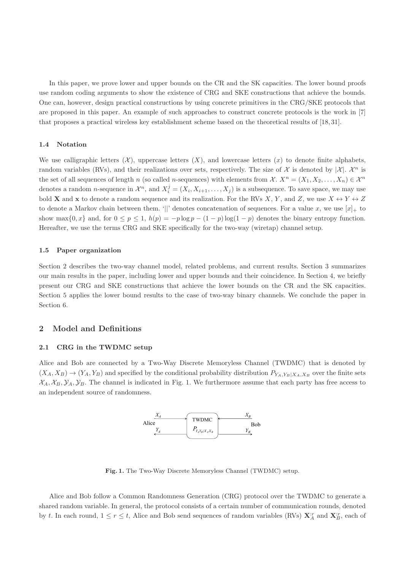In this paper, we prove lower and upper bounds on the CR and the SK capacities. The lower bound proofs use random coding arguments to show the existence of CRG and SKE constructions that achieve the bounds. One can, however, design practical constructions by using concrete primitives in the CRG/SKE protocols that are proposed in this paper. An example of such approaches to construct concrete protocols is the work in [7] that proposes a practical wireless key establishment scheme based on the theoretical results of [18, 31].

### 1.4 Notation

We use calligraphic letters  $(X)$ , uppercase letters  $(X)$ , and lowercase letters  $(x)$  to denote finite alphabets, random variables (RVs), and their realizations over sets, respectively. The size of  $\mathcal X$  is denoted by  $|\mathcal X|$ .  $\mathcal X^n$  is the set of all sequences of length n (so called n-sequences) with elements from  $\mathcal{X}$ .  $X^n = (X_1, X_2, \ldots, X_n) \in \mathcal{X}^n$ denotes a random *n*-sequence in  $\mathcal{X}^n$ , and  $X_i^j = (X_i, X_{i+1}, \ldots, X_j)$  is a subsequence. To save space, we may use bold **X** and **x** to denote a random sequence and its realization. For the RVs X, Y, and Z, we use  $X \leftrightarrow Y \leftrightarrow Z$ to denote a Markov chain between them. '||' denotes concatenation of sequences. For a value x, we use  $[x]_+$  to show max $\{0, x\}$  and, for  $0 \le p \le 1$ ,  $h(p) = -p \log p - (1 - p) \log(1 - p)$  denotes the binary entropy function. Hereafter, we use the terms CRG and SKE specifically for the two-way (wiretap) channel setup.

### 1.5 Paper organization

Section 2 describes the two-way channel model, related problems, and current results. Section 3 summarizes our main results in the paper, including lower and upper bounds and their coincidence. In Section 4, we briefly present our CRG and SKE constructions that achieve the lower bounds on the CR and the SK capacities. Section 5 applies the lower bound results to the case of two-way binary channels. We conclude the paper in Section 6.

# 2 Model and Definitions

### 2.1 CRG in the TWDMC setup

Alice and Bob are connected by a Two-Way Discrete Memoryless Channel (TWDMC) that is denoted by  $(X_A, X_B) \to (Y_A, Y_B)$  and specified by the conditional probability distribution  $P_{Y_A, Y_B|X_A, X_B}$  over the finite sets  $X_A, X_B, Y_A, Y_B$ . The channel is indicated in Fig. 1. We furthermore assume that each party has free access to an independent source of randomness.



Fig. 1. The Two-Way Discrete Memoryless Channel (TWDMC) setup.

Alice and Bob follow a Common Randomness Generation (CRG) protocol over the TWDMC to generate a shared random variable. In general, the protocol consists of a certain number of communication rounds, denoted by t. In each round,  $1 \le r \le t$ , Alice and Bob send sequences of random variables (RVs)  $\mathbf{X}_{A}^{:r}$  and  $\mathbf{X}_{B}^{:r}$ , each of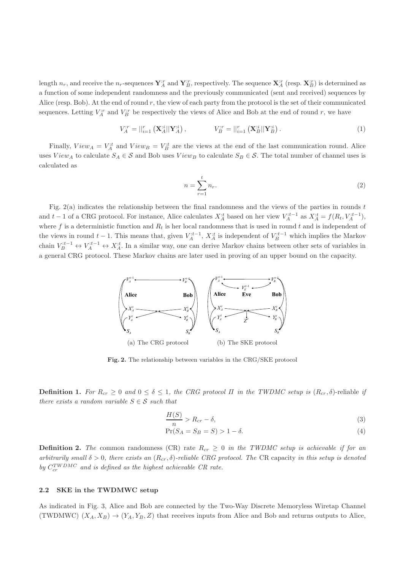length  $n_r$ , and receive the  $n_r$ -sequences  $\mathbf{Y}_A^{:r}$  and  $\mathbf{Y}_B^{:r}$ , respectively. The sequence  $\mathbf{X}_A^{:r}$  (resp.  $\mathbf{X}_B^{:r}$ ) is determined as a function of some independent randomness and the previously communicated (sent and received) sequences by Alice (resp. Bob). At the end of round  $r$ , the view of each party from the protocol is the set of their communicated sequences. Letting  $V_A^{,r}$  and  $V_B^{,r}$  be respectively the views of Alice and Bob at the end of round r, we have

$$
V_A^{:r} = ||_{i=1}^r (\mathbf{X}_A^{:i} || \mathbf{Y}_A^{:i}), \qquad V_B^{:r} = ||_{i=1}^r (\mathbf{X}_B^{:i} || \mathbf{Y}_B^{:i}). \tag{1}
$$

Finally,  $View_A = V_A^{it}$  and  $View_B = V_B^{it}$  are the views at the end of the last communication round. Alice uses  $View_A$  to calculate  $S_A \in \mathcal{S}$  and Bob uses  $View_B$  to calculate  $S_B \in \mathcal{S}$ . The total number of channel uses is calculated as

$$
n = \sum_{r=1}^{t} n_r.
$$
\n
$$
(2)
$$

Fig. 2(a) indicates the relationship between the final randomness and the views of the parties in rounds t and  $t-1$  of a CRG protocol. For instance, Alice calculates  $X_A^{:t}$  based on her view  $V_A^{:t-1}$  as  $X_A^{:t} = f(R_t, V_A^{:t-1})$ , where f is a deterministic function and  $R_t$  is her local randomness that is used in round t and is independent of the views in round  $t-1$ . This means that, given  $V_A^{t-1}$ ,  $X_A^{t}$  is independent of  $V_B^{t-1}$  which implies the Markov chain  $V_B^{:t-1} \leftrightarrow V_A^{:t-1} \leftrightarrow X_A^{:t}$ . In a similar way, one can derive Markov chains between other sets of variables in a general CRG protocol. These Markov chains are later used in proving of an upper bound on the capacity.



Fig. 2. The relationship between variables in the CRG/SKE protocol

**Definition 1.** For  $R_{cr} \geq 0$  and  $0 \leq \delta \leq 1$ , the CRG protocol  $\Pi$  in the TWDMC setup is  $(R_{cr}, \delta)$ -reliable if there exists a random variable  $S \in \mathcal{S}$  such that

$$
\frac{H(S)}{n} > R_{cr} - \delta,\tag{3}
$$

$$
\Pr(S_A = S_B = S) > 1 - \delta. \tag{4}
$$

**Definition 2.** The common randomness (CR) rate  $R_{cr} \geq 0$  in the TWDMC setup is achievable if for an arbitrarily small  $\delta > 0$ , there exists an  $(R_{cr}, \delta)$ -reliable CRG protocol. The CR capacity in this setup is denoted by  $C_{cr}^{TWDMC}$  and is defined as the highest achievable CR rate.

### 2.2 SKE in the TWDMWC setup

As indicated in Fig. 3, Alice and Bob are connected by the Two-Way Discrete Memoryless Wiretap Channel (TWDMWC)  $(X_A, X_B) \to (Y_A, Y_B, Z)$  that receives inputs from Alice and Bob and returns outputs to Alice,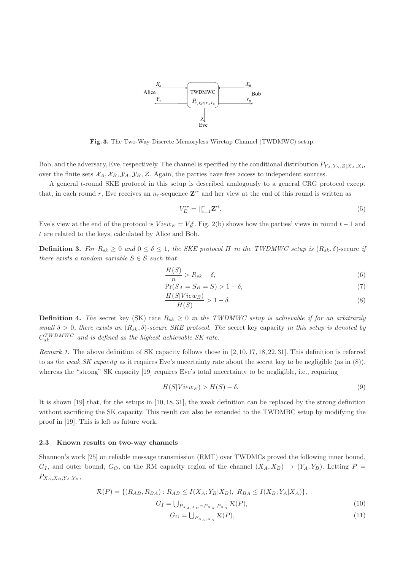

Fig. 3. The Two-Way Discrete Memoryless Wiretap Channel (TWDMWC) setup.

Bob, and the adversary, Eve, respectively. The channel is specified by the conditional distribution  $P_{Y_A,Y_B,Z|X_A,X_B}$ over the finite sets  $\mathcal{X}_A, \mathcal{X}_B, \mathcal{Y}_A, \mathcal{Y}_B, \mathcal{Z}$ . Again, the parties have free access to independent sources.

A general t-round SKE protocol in this setup is described analogously to a general CRG protocol except that, in each round r, Eve receives an  $n_r$ -sequence  $\mathbf{Z}^r$  and her view at the end of this round is written as

$$
V_E^{:r} = ||_{i=1}^r \mathbf{Z}^{:i}.\tag{5}
$$

Eve's view at the end of the protocol is  $View_E = V_E^{,t}$ . Fig. 2(b) shows how the parties' views in round  $t-1$  and t are related to the keys, calculated by Alice and Bob.

**Definition 3.** For  $R_{sk} > 0$  and  $0 < \delta < 1$ , the SKE protocol  $\Pi$  in the TWDMWC setup is  $(R_{sk}, \delta)$ -secure if there exists a random variable  $S \in \mathcal{S}$  such that

$$
\frac{H(S)}{n} > R_{sk} - \delta,\tag{6}
$$

$$
\Pr(S_A = S_B = S) > 1 - \delta,\tag{7}
$$
\n
$$
H(S|V(\text{sum}))
$$

$$
\frac{H(S|ViewE)}{H(S)} > 1 - \delta.
$$
\n(8)

**Definition 4.** The secret key (SK) rate  $R_{sk} \geq 0$  in the TWDMWC setup is achievable if for an arbitrarily small  $\delta > 0$ , there exists an  $(R_{sk}, \delta)$ -secure SKE protocol. The secret key capacity in this setup is denoted by  $C_{sk}^{TWDMWC}$  and is defined as the highest achievable SK rate.

Remark 1. The above definition of SK capacity follows those in [2, 10, 17, 18, 22, 31]. This definition is referred to as the weak SK capacity as it requires Eve's uncertainty rate about the secret key to be negligible (as in  $(8)$ ), whereas the "strong" SK capacity [19] requires Eve's total uncertainty to be negligible, i.e., requiring

$$
H(S|View_E) > H(S) - \delta.
$$
\n(9)

It is shown [19] that, for the setups in [10, 18, 31], the weak definition can be replaced by the strong definition without sacrificing the SK capacity. This result can also be extended to the TWDMBC setup by modifying the proof in [19]. This is left as future work.

### 2.3 Known results on two-way channels

Shannon's work [25] on reliable message transmission (RMT) over TWDMCs proved the following inner bound,  $G_I$ , and outer bound,  $G_O$ , on the RM capacity region of the channel  $(X_A, X_B) \rightarrow (Y_A, Y_B)$ . Letting  $P =$  $P_{X_A,X_B,Y_A,Y_B},$ 

$$
\mathcal{R}(P) = \{ (R_{AB}, R_{BA}) : R_{AB} \leq I(X_A; Y_B | X_B), R_{BA} \leq I(X_B; Y_A | X_A) \},\
$$

$$
G_I = \bigcup_{P_{X_A, X_B} = P_{X_A}.P_{X_B}} \mathcal{R}(P),\tag{10}
$$

$$
G_O = \bigcup_{P_{X_A, X_B}} \mathcal{R}(P),\tag{11}
$$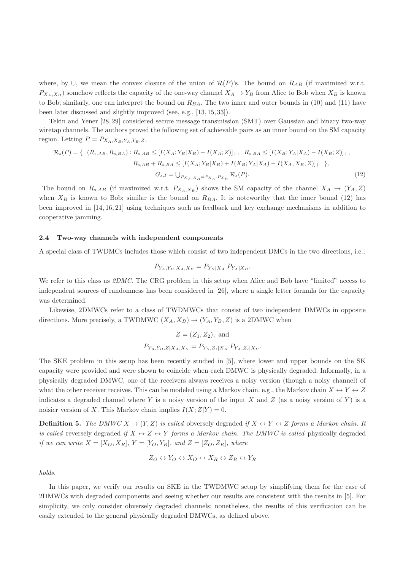where, by  $\cup$ , we mean the convex closure of the union of  $\mathcal{R}(P)$ 's. The bound on  $R_{AB}$  (if maximized w.r.t.  $P_{X_A,X_B}$ ) somehow reflects the capacity of the one-way channel  $X_A \to Y_B$  from Alice to Bob when  $X_B$  is known to Bob; similarly, one can interpret the bound on  $R_{BA}$ . The two inner and outer bounds in (10) and (11) have been later discussed and slightly improved (see, e.g., [13, 15, 33]).

Tekin and Yener [28, 29] considered secure message transmission (SMT) over Gaussian and binary two-way wiretap channels. The authors proved the following set of achievable pairs as an inner bound on the SM capacity region. Letting  $P = P_{X_A, X_B, Y_A, Y_B, Z}$ ,

$$
\mathcal{R}_{s}(P) = \{ (R_{s,AB}, R_{s,BA}) : R_{s,AB} \leq [I(X_A; Y_B|X_B) - I(X_A; Z)]_+, R_{s,BA} \leq [I(X_B; Y_A|X_A) - I(X_B; Z)]_+,
$$
  
\n
$$
R_{s,AB} + R_{s,BA} \leq [I(X_A; Y_B|X_B) + I(X_B; Y_A|X_A) - I(X_A, X_B; Z)]_+ \},
$$
  
\n
$$
G_{s,I} = \bigcup_{P_{X_A,X_B} = P_{X_A}, P_{X_B}} \mathcal{R}_{s}(P).
$$
\n(12)

The bound on  $R_{s,AB}$  (if maximized w.r.t.  $P_{X_A,X_B}$ ) shows the SM capacity of the channel  $X_A \rightarrow (Y_A, Z)$ when  $X_B$  is known to Bob; similar is the bound on  $R_{BA}$ . It is noteworthy that the inner bound (12) has been improved in [14, 16, 21] using techniques such as feedback and key exchange mechanisms in addition to cooperative jamming.

### 2.4 Two-way channels with independent components

A special class of TWDMCs includes those which consist of two independent DMCs in the two directions, i.e.,

$$
P_{Y_A,Y_B|X_A,X_B} = P_{Y_B|X_A}.P_{Y_A|X_B}.
$$

We refer to this class as 2DMC. The CRG problem in this setup when Alice and Bob have "limited" access to independent sources of randomness has been considered in [26], where a single letter formula for the capacity was determined.

Likewise, 2DMWCs refer to a class of TWDMWCs that consist of two independent DMWCs in opposite directions. More precisely, a TWDMWC  $(X_A, X_B) \rightarrow (Y_A, Y_B, Z)$  is a 2DMWC when

$$
Z = (Z_1, Z_2), \text{ and}
$$
  

$$
P_{YA, Y_B, Z|X_A, X_B} = P_{Y_B, Z_1|X_A} \cdot P_{Y_A, Z_2|X_B}.
$$

The SKE problem in this setup has been recently studied in [5], where lower and upper bounds on the SK capacity were provided and were shown to coincide when each DMWC is physically degraded. Informally, in a physically degraded DMWC, one of the receivers always receives a noisy version (though a noisy channel) of what the other receiver receives. This can be modeled using a Markov chain. e.g., the Markov chain  $X \leftrightarrow Y \leftrightarrow Z$ indicates a degraded channel where Y is a noisy version of the input X and Z (as a noisy version of Y) is a noisier version of X. This Markov chain implies  $I(X;Z|Y) = 0$ .

**Definition 5.** The DMWC  $X \to (Y, Z)$  is called obversely degraded if  $X \leftrightarrow Y \leftrightarrow Z$  forms a Markov chain. It is called reversely degraded if  $X \leftrightarrow Z \leftrightarrow Y$  forms a Markov chain. The DMWC is called physically degraded if we can write  $X = [X_O, X_R]$ ,  $Y = [Y_O, Y_R]$ , and  $Z = [Z_O, Z_R]$ , where

$$
Z_O \leftrightarrow Y_O \leftrightarrow X_O \leftrightarrow X_R \leftrightarrow Z_R \leftrightarrow Y_R
$$

holds.

In this paper, we verify our results on SKE in the TWDMWC setup by simplifying them for the case of 2DMWCs with degraded components and seeing whether our results are consistent with the results in [5]. For simplicity, we only consider obversely degraded channels; nonetheless, the results of this verification can be easily extended to the general physically degraded DMWCs, as defined above.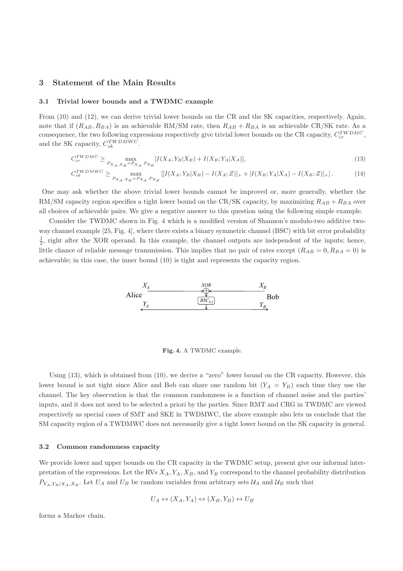# 3 Statement of the Main Results

# 3.1 Trivial lower bounds and a TWDMC example

From (10) and (12), we can derive trivial lower bounds on the CR and the SK capacities, respectively. Again, note that if  $(R_{AB}, R_{BA})$  is an achievable RM/SM rate, then  $R_{AB} + R_{BA}$  is an achievable CR/SK rate. As a consequence, the two following expressions respectively give trivial lower bounds on the CR capacity,  $C_{cr}^{TWDMC}$ , and the SK capacity,  $C_{sk}^{TWDMWC}$ .

$$
C_{cr}^{TWDMC} \ge \max_{P_{X_A, X_B} = P_{X_A}.P_{X_B}} [I(X_A; Y_B | X_B) + I(X_B; Y_A | X_A)],\tag{13}
$$

$$
C_{sk}^{TWDMWC} \ge \max_{P_{X_A, X_B} = P_{X_A}, P_{X_B}} \left[ [I(X_A; Y_B | X_B) - I(X_A; Z)]_+ + [I(X_B; Y_A | X_A) - I(X_B; Z)]_+ \right].
$$
 (14)

One may ask whether the above trivial lower bounds cannot be improved or, more generally, whether the RM/SM capacity region specifies a tight lower bound on the CR/SK capacity, by maximizing  $R_{AB} + R_{BA}$  over all choices of achievable pairs. We give a negative answer to this question using the following simple example.

Consider the TWDMC shown in Fig. 4 which is a modified version of Shannon's modulo-two additive twoway channel example [25, Fig. 4], where there exists a binary symmetric channel (BSC) with bit error probability  $\frac{1}{2}$ , right after the XOR operand. In this example, the channel outputs are independent of the inputs; hence, little chance of reliable message transmission. This implies that no pair of rates except  $(R_{AB} = 0, R_{BA} = 0)$  is achievable; in this case, the inner bound (10) is tight and represents the capacity region.



Fig. 4. A TWDMC example.

Using (13), which is obtained from (10), we derive a "zero" lower bound on the CR capacity. However, this lower bound is not tight since Alice and Bob can share one random bit  $(Y_A = Y_B)$  each time they use the channel. The key observation is that the common randomness is a function of channel noise and the parties' inputs, and it does not need to be selected a priori by the parties. Since RMT and CRG in TWDMC are viewed respectively as special cases of SMT and SKE in TWDMWC, the above example also lets us conclude that the SM capacity region of a TWDMWC does not necessarily give a tight lower bound on the SK capacity in general.

#### 3.2 Common randomness capacity

We provide lower and upper bounds on the CR capacity in the TWDMC setup, present give our informal interpretation of the expressions. Let the RVs  $X_A, Y_A, X_B$ , and  $Y_B$  correspond to the channel probability distribution  $P_{Y_A,Y_B|X_A,X_B}$ . Let  $U_A$  and  $U_B$  be random variables from arbitrary sets  $\mathcal{U}_A$  and  $\mathcal{U}_B$  such that

$$
U_A \leftrightarrow (X_A, Y_A) \leftrightarrow (X_B, Y_B) \leftrightarrow U_B
$$

forms a Markov chain.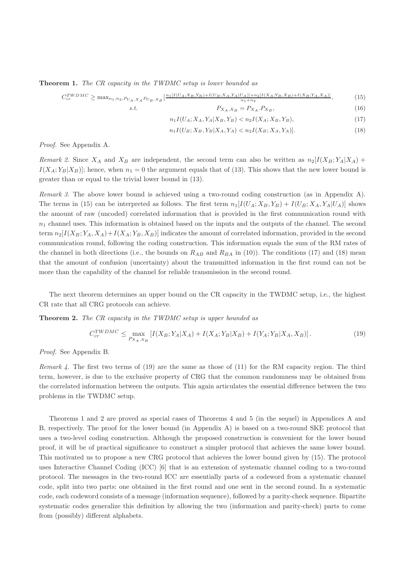**Theorem 1.** The CR capacity in the TWDMC setup is lower bounded as

$$
C_{cr}^{TWDMC} \ge \max_{n_1, n_2, P_{U_A, X_A} P_{U_B, X_B}} \left[ \frac{n_1[I(U_A; X_B, Y_B) + I(U_B; X_A, Y_A | U_A)] + n_2[I(X_A; Y_B, X_B) + I(X_B; Y_A, X_A)]}{n_1 + n_2}, \right],
$$
(15)

s.t. 
$$
P_{X_A, X_B} = P_{X_A} . P_{X_B}, \qquad (16)
$$

$$
n_1I(U_A; X_A, Y_A|X_B, Y_B) < n_2I(X_A; X_B, Y_B),\tag{17}
$$

$$
n_1 I(U_B; X_B, Y_B | X_A, Y_A) < n_2 I(X_B; X_A, Y_A)].\tag{18}
$$

Proof. See Appendix A.

Remark 2. Since  $X_A$  and  $X_B$  are independent, the second term can also be written as  $n_2[I(X_B; Y_A|X_A) + I(X_B; Y_A|X_B)]$  $I(X_A; Y_B | X_B)$ ; hence, when  $n_1 = 0$  the argument equals that of (13). This shows that the new lower bound is greater than or equal to the trivial lower bound in (13).

Remark 3. The above lower bound is achieved using a two-round coding construction (as in Appendix A). The terms in (15) can be interpreted as follows. The first term  $n_1[I(U_A; X_B, Y_B) + I(U_B; X_A, Y_A | U_A)]$  shows the amount of raw (uncoded) correlated information that is provided in the first communication round with  $n_1$  channel uses. This information is obtained based on the inputs and the outputs of the channel. The second term  $n_2[I(X_B; Y_A, X_A) + I(X_A; Y_B, X_B)]$  indicates the amount of correlated information, provided in the second communication round, following the coding construction. This information equals the sum of the RM rates of the channel in both directions (i.e., the bounds on  $R_{AB}$  and  $R_{BA}$  in (10)). The conditions (17) and (18) mean that the amount of confusion (uncertainty) about the transmitted information in the first round can not be more than the capability of the channel for reliable transmission in the second round.

The next theorem determines an upper bound on the CR capacity in the TWDMC setup, i.e., the highest CR rate that all CRG protocols can achieve.

Theorem 2. The CR capacity in the TWDMC setup is upper bounded as

$$
C_{cr}^{TWDMC} \le \max_{P_{X_A, X_B}} \left[ I(X_B; Y_A | X_A) + I(X_A; Y_B | X_B) + I(Y_A; Y_B | X_A, X_B) \right].
$$
\n(19)

Proof. See Appendix B.

Remark 4. The first two terms of (19) are the same as those of (11) for the RM capacity region. The third term, however, is due to the exclusive property of CRG that the common randomness may be obtained from the correlated information between the outputs. This again articulates the essential difference between the two problems in the TWDMC setup.

Theorems 1 and 2 are proved as special cases of Theorems 4 and 5 (in the sequel) in Appendices A and B, respectively. The proof for the lower bound (in Appendix A) is based on a two-round SKE protocol that uses a two-level coding construction. Although the proposed construction is convenient for the lower bound proof, it will be of practical significance to construct a simpler protocol that achieves the same lower bound. This motivated us to propose a new CRG protocol that achieves the lower bound given by (15). The protocol uses Interactive Channel Coding (ICC) [6] that is an extension of systematic channel coding to a two-round protocol. The messages in the two-round ICC are essentially parts of a codeword from a systematic channel code, split into two parts: one obtained in the first round and one sent in the second round. In a systematic code, each codeword consists of a message (information sequence), followed by a parity-check sequence. Bipartite systematic codes generalize this definition by allowing the two (information and parity-check) parts to come from (possibly) different alphabets.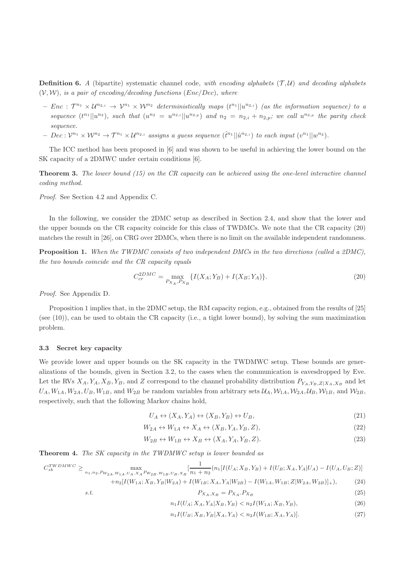**Definition 6.** A (bipartite) systematic channel code, with encoding alphabets  $(\mathcal{T}, \mathcal{U})$  and decoding alphabets  $(V, W)$ , is a pair of encoding/decoding functions (Enc/Dec), where

- $Enc : T^{n_1} \times U^{n_{2,i}} \to V^{n_1} \times W^{n_2}$  deterministically maps  $(t^{n_1}||u^{n_{2,i}})$  (as the information sequence) to a sequence  $(t^{n_1}||u^{n_2})$ , such that  $(u^{n_2} = u^{n_{2,i}}||u^{n_{2,p}})$  and  $n_2 = n_{2,i} + n_{2,p}$ ; we call  $u^{n_{2,p}}$  the parity check sequence.
- $Dec: \mathcal{V}^{n_1} \times \mathcal{W}^{n_2} \rightarrow \mathcal{T}^{n_1} \times \mathcal{U}^{n_{2,i}}$  assigns a guess sequence  $(\hat{t}^{n_1} || \hat{u}^{n_{2,i}})$  to each input  $(v^{n_1} || w^{n_2}).$

The ICC method has been proposed in [6] and was shown to be useful in achieving the lower bound on the SK capacity of a 2DMWC under certain conditions [6].

**Theorem 3.** The lower bound  $(15)$  on the CR capacity can be achieved using the one-level interactive channel coding method.

Proof. See Section 4.2 and Appendix C.

In the following, we consider the 2DMC setup as described in Section 2.4, and show that the lower and the upper bounds on the CR capacity coincide for this class of TWDMCs. We note that the CR capacity (20) matches the result in [26], on CRG over 2DMCs, when there is no limit on the available independent randomness.

Proposition 1. When the TWDMC consists of two independent DMCs in the two directions (called a 2DMC), the two bounds coincide and the CR capacity equals

$$
C_{cr}^{2DMC} = \max_{P_{X_A}, P_{X_B}} \{ I(X_A; Y_B) + I(X_B; Y_A) \}.
$$
\n(20)

Proof. See Appendix D.

Proposition 1 implies that, in the 2DMC setup, the RM capacity region, e.g., obtained from the results of [25] (see (10)), can be used to obtain the CR capacity (i.e., a tight lower bound), by solving the sum maximization problem.

### 3.3 Secret key capacity

We provide lower and upper bounds on the SK capacity in the TWDMWC setup. These bounds are generalizations of the bounds, given in Section 3.2, to the cases when the communication is eavesdropped by Eve. Let the RVs  $X_A, Y_A, X_B, Y_B$ , and Z correspond to the channel probability distribution  $P_{Y_A, Y_B, Z|X_A, X_B}$  and let  $U_A, W_{1A}, W_{2A}, U_B, W_{1B}$ , and  $W_{2B}$  be random variables from arbitrary sets  $U_A, W_{1A}, W_{2A}, U_B, W_{1B}$ , and  $W_{2B}$ , respectively, such that the following Markov chains hold,

$$
U_A \leftrightarrow (X_A, Y_A) \leftrightarrow (X_B, Y_B) \leftrightarrow U_B,\tag{21}
$$

$$
W_{2A} \leftrightarrow W_{1A} \leftrightarrow X_A \leftrightarrow (X_B, Y_A, Y_B, Z), \tag{22}
$$

$$
W_{2B} \leftrightarrow W_{1B} \leftrightarrow X_B \leftrightarrow (X_A, Y_A, Y_B, Z). \tag{23}
$$

Theorem 4. The SK capacity in the TWDMWC setup is lower bounded as

$$
C_{sk}^{TWDMWC} \ge \max_{n_1, n_2, P_{W_{2A}, W_{1A}, U_A, X_A} P_{W_{2B}, W_{1B}, U_B, X_B}} \left[ \frac{1}{n_1 + n_2} (n_1[I(U_A; X_B, Y_B) + I(U_B; X_A, Y_A | U_A) - I(U_A, U_B; Z)] + n_2[I(W_{1A}; X_B, Y_B | W_{2A}) + I(W_{1B}; X_A, Y_A | W_{2B}) - I(W_{1A}, W_{1B}; Z | W_{2A}, W_{2B})] + \right),
$$
(24)

$$
+ n_2 \left[ \frac{I(W1A, AB, IB|W2A) + I(W1B, AA, IA|W2B) - I(W1A, W1B, Z|W2A, W2B)] + \right],
$$
\n
$$
P_{X_A, X_B} = P_{X_A}. P_{X_B}
$$
\n(25)

$$
s.t
$$

$$
n_1 I(U_A; X_A, Y_A | X_B, Y_B) < n_2 I(W_{1A}; X_B, Y_B),\tag{26}
$$

$$
n_1 I(U_B; X_B, Y_B | X_A, Y_A) < n_2 I(W_{1B}; X_A, Y_A)].\tag{27}
$$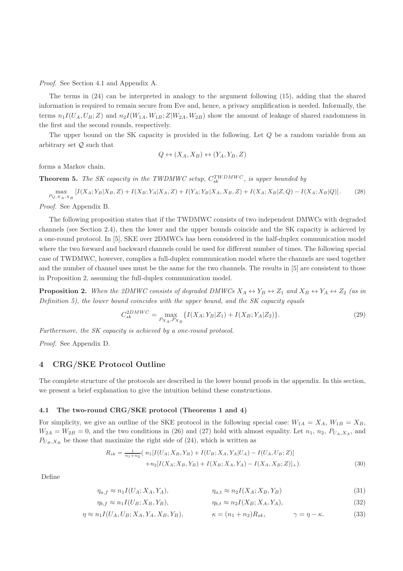Proof. See Section 4.1 and Appendix A.

The terms in (24) can be interpreted in analogy to the argument following (15), adding that the shared information is required to remain secure from Eve and, hence, a privacy amplification is needed. Informally, the terms  $n_1I(U_A, U_B; Z)$  and  $n_2I(W_{1A}, W_{1B}; Z|W_{2A}, W_{2B})$  show the amount of leakage of shared randomness in the first and the second rounds, respectively.

The upper bound on the SK capacity is provided in the following. Let Q be a random variable from an arbitrary set Q such that

$$
Q \leftrightarrow (X_A, X_B) \leftrightarrow (Y_A, Y_B, Z)
$$

forms a Markov chain.

**Theorem 5.** The SK capacity in the TWDMWC setup,  $C_{sk}^{TWDMWC}$ , is upper bounded by

$$
\max_{P_{Q,X_A,X_B}}\left[I(X_A;Y_B|X_B,Z)+I(X_B;Y_A|X_A,Z)+I(Y_A;Y_B|X_A,X_B,Z)+I(X_A;X_B|Z,Q)-I(X_A;X_B|Q)\right].
$$
 (28)

Proof. See Appendix B.

The following proposition states that if the TWDMWC consists of two independent DMWCs with degraded channels (see Section 2.4), then the lower and the upper bounds coincide and the SK capacity is achieved by a one-round protocol. In [5], SKE over 2DMWCs has been considered in the half-duplex communication model where the two forward and backward channels could be used for different number of times. The following special case of TWDMWC, however, complies a full-duplex communication model where the channels are used together and the number of channel uses must be the same for the two channels. The results in [5] are consistent to those in Proposition 2, assuming the full-duplex communication model.

**Proposition 2.** When the 2DMWC consists of degraded DMWCs  $X_A \leftrightarrow Y_B \leftrightarrow Z_1$  and  $X_B \leftrightarrow Y_A \leftrightarrow Z_2$  (as in Definition 5), the lower bound coincides with the upper bound, and the SK capacity equals

$$
C_{sk}^{2DMWC} = \max_{P_{X_A}, P_{X_B}} \{ I(X_A; Y_B | Z_1) + I(X_B; Y_A | Z_2) \}.
$$
\n(29)

Furthermore, the SK capacity is achieved by a one-round protocol.

Proof. See Appendix D.

# 4 CRG/SKE Protocol Outline

 $\eta_{b,f} \approx n_1 I(U_B;$ 

The complete structure of the protocols are described in the lower bound proofs in the appendix. In this section, we present a brief explanation to give the intuition behind these constructions.

#### 4.1 The two-round CRG/SKE protocol (Theorems 1 and 4)

For simplicity, we give an outline of the SKE protocol in the following special case:  $W_{1A} = X_A$ ,  $W_{1B} = X_B$ ,  $W_{2A} = W_{2B} = 0$ , and the two conditions in (26) and (27) hold with almost equality. Let  $n_1, n_2, P_{U_A, X_A}$ , and  $P_{U_B, X_B}$  be those that maximize the right side of (24), which is written as

$$
R_{sk} = \frac{1}{n_1 + n_2} \left( n_1 \left[ I(U_A; X_B, Y_B) + I(U_B; X_A, Y_A | U_A) - I(U_A, U_B; Z) \right] + n_2 \left[ I(X_A; X_B, Y_B) + I(X_B; X_A, Y_A) - I(X_A, X_B; Z) \right] + \right).
$$
\n(30)

Define

$$
\eta_{a,f} \approx n_1 I(U_A; X_A, Y_A), \qquad \eta_{a,t} \approx n_2 I(X_A; X_B, Y_B) \tag{31}
$$

$$
X_B, Y_B), \qquad \eta_{b,t} \approx n_2 I(X_B; X_A, Y_A), \qquad (32)
$$

$$
\eta \approx n_1 I(U_A, U_B; X_A, Y_A, X_B, Y_B), \qquad \kappa = (n_1 + n_2) R_{sk}, \qquad \gamma = \eta - \kappa. \tag{33}
$$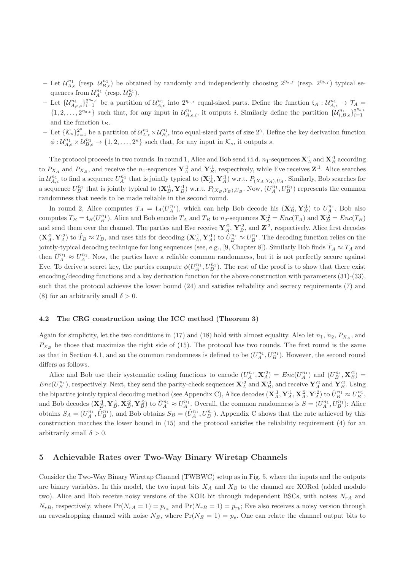- Let  $\mathcal{U}_{A,\epsilon}^{n_1}$  (resp.  $\mathcal{U}_{B,\epsilon}^{n_1}$ ) be obtained by randomly and independently choosing  $2^{n_{a,f}}$  (resp.  $2^{n_{b,f}}$ ) typical sequences from  $\mathcal{U}_A^{n_1}$  (resp.  $\mathcal{U}_B^{n_1}$ ).
- Let  $\{\mathcal{U}_{A,\epsilon,i}^{n_1}\}_{i=1}^{2^{n_{a,t}}}$  be a partition of  $\mathcal{U}_{A,\epsilon}^{n_1}$  into  $2^{n_{a,t}}$  equal-sized parts. Define the function  $\mathfrak{t}_A: \mathcal{U}_{A,\epsilon}^{n_1} \to \mathcal{T}_A$  $\{1, 2, \ldots, 2^{n_{a,t}}\}$  such that, for any input in  $\mathcal{U}_{A,\epsilon,i}^{n_1}$ , it outputs i. Similarly define the partition  $\{\mathcal{U}_{i,B,\epsilon}^{n_1}\}_{i=1}^{2^{n_{b,t}}}$  $i=1$ and the function  $t_B$ .
- $-\text{ Let } {\{\mathcal{K}_s\}}_{s=1}^{2^n}$  be a partition of  $\mathcal{U}_{A,\epsilon}^{n_1} \times \mathcal{U}_{B,\epsilon}^{n_1}$  into equal-sized parts of size  $2^{\gamma}$ . Define the key derivation function  $\phi: \mathcal{U}_{A,\epsilon}^{n_1} \times \mathcal{U}_{B,\epsilon}^{n_1} \rightarrow \{1,2,\ldots,2^{\kappa}\}\$  such that, for any input in  $\mathcal{K}_s$ , it outputs s.

The protocol proceeds in two rounds. In round 1, Alice and Bob send i.i.d.  $n_1$ -sequences  $\mathbf{X}_A^{:1}$  and  $\mathbf{X}_B^{:1}$  according to  $P_{X_A}$  and  $P_{X_B}$ , and receive the  $n_1$ -sequences  $\mathbf{Y}_A^1$  and  $\mathbf{Y}_B^1$ , respectively, while Eve receives  $\mathbf{Z}^1$ . Alice searches in  $\mathcal{U}_{A,\epsilon}^{n_1}$  to find a sequence  $U_A^{n_1}$  that is jointly typical to  $(\mathbf{X}_A^1, \mathbf{Y}_A^1)$  w.r.t.  $P_{(X_A, Y_A), U_A}$ . Similarly, Bob searches for a sequence  $U_B^{n_1}$  that is jointly typical to  $(\mathbf{X}_{B}^{:1}, \mathbf{Y}_{B}^{:1})$  w.r.t.  $P_{(X_B, Y_B), U_B}$ . Now,  $(U_A^{n_1}, U_B^{n_1})$  represents the common randomness that needs to be made reliable in the second round.

In round 2, Alice computes  $T_A = \mathfrak{t}_A(U_A^{n_1})$ , which can help Bob decode his  $(\mathbf{X}_B^{:1}, \mathbf{Y}_B^{:1})$  to  $U_A^{n_1}$ . Bob also computes  $T_B = \mathfrak{t}_B(U_B^{n_1})$ . Alice and Bob encode  $T_A$  and  $T_B$  to  $n_2$ -sequences  $\mathbf{X}_A^{\cdot 2} = Enc(T_A)$  and  $\mathbf{X}_B^{\cdot 2} = Enc(T_B)$ and send them over the channel. The parties and Eve receive  $Y_A^2$ ,  $Y_B^2$ , and  $Z^2$ , respectively. Alice first decodes  $(\mathbf{X}_A^{\cdot 2}, \mathbf{Y}_A^{\cdot 2})$  to  $\hat{T}_B \approx T_B$ , and uses this for decoding  $(\mathbf{X}_A^{\cdot 1}, \mathbf{Y}_A^{\cdot 1})$  to  $\hat{U}_B^{n_1} \approx U_B^{n_1}$ . The decoding function relies on the jointly-typical decoding technique for long sequences (see, e.g., [9, Chapter 8]). Similarly Bob finds  $T_A \approx T_A$  and then  $\hat{U}^{n_1}_A \approx U^{n_1}_A$ . Now, the parties have a reliable common randomness, but it is not perfectly secure against Eve. To derive a secret key, the parties compute  $\phi(U_A^{n_1}, U_B^{n_1})$ . The rest of the proof is to show that there exist encoding/decoding functions and a key derivation function for the above construction with parameters (31)-(33), such that the protocol achieves the lower bound (24) and satisfies reliability and secrecy requirements (7) and (8) for an arbitrarily small  $\delta > 0$ .

### 4.2 The CRG construction using the ICC method (Theorem 3)

Again for simplicity, let the two conditions in (17) and (18) hold with almost equality. Also let  $n_1$ ,  $n_2$ ,  $P_{X_A}$ , and  $P_{X_B}$  be those that maximize the right side of (15). The protocol has two rounds. The first round is the same as that in Section 4.1, and so the common randomness is defined to be  $(U_A^{n_1}, U_B^{n_1})$ . However, the second round differs as follows.

Alice and Bob use their systematic coding functions to encode  $(U_A^{n_1}, \mathbf{X}_A^{:2}) = Enc(U_A^{n_1})$  and  $(U_B^{n_1}, \mathbf{X}_B^{:2}) =$  $Enc(U_B^{n_1})$ , respectively. Next, they send the parity-check sequences  $\mathbf{X}_{A}^{:2}$  and  $\mathbf{X}_{B}^{:2}$ , and receive  $\mathbf{Y}_{A}^{:2}$  and  $\mathbf{Y}_{B}^{:2}$ . Using the bipartite jointly typical decoding method (see Appendix C), Alice decodes  $(\mathbf{X}_A^{\cdot 1}, \mathbf{Y}_A^{\cdot 1}, \mathbf{X}_A^{\cdot 2}, \mathbf{Y}_A^{\cdot 2})$  to  $\hat{U}_B^{n_1} \approx U_B^{n_1}$ , and Bob decodes  $(\mathbf{X}_{B}^{:1}, \mathbf{Y}_{B}^{:1}, \mathbf{X}_{B}^{:2}, \mathbf{Y}_{B}^{:2})$  to  $\hat{U}_{A}^{n_{1}} \approx U_{A}^{n_{1}}$ . Overall, the common randomness is  $S = (U_{A}^{n_{1}}, U_{B}^{n_{1}})$ : Alice obtains  $S_A = (U_A^{n_1}, \hat{U}_B^{n_1})$ , and Bob obtains  $S_B = (\hat{U}_A^{n_1}, U_B^{n_1})$ . Appendix C shows that the rate achieved by this construction matches the lower bound in (15) and the protocol satisfies the reliability requirement (4) for an arbitrarily small  $\delta > 0$ .

# 5 Achievable Rates over Two-Way Binary Wiretap Channels

Consider the Two-Way Binary Wiretap Channel (TWBWC) setup as in Fig. 5, where the inputs and the outputs are binary variables. In this model, the two input bits  $X_A$  and  $X_B$  to the channel are XORed (added modulo two). Alice and Bob receive noisy versions of the XOR bit through independent BSCs, with noises  $N_{rA}$  and  $N_{rB}$ , respectively, where  $Pr(N_{rA} = 1) = p_{r_a}$  and  $Pr(N_{rB} = 1) = p_{r_b}$ ; Eve also receives a noisy version through an eavesdropping channel with noise  $N_E$ , where  $Pr(N_E = 1) = p_e$ . One can relate the channel output bits to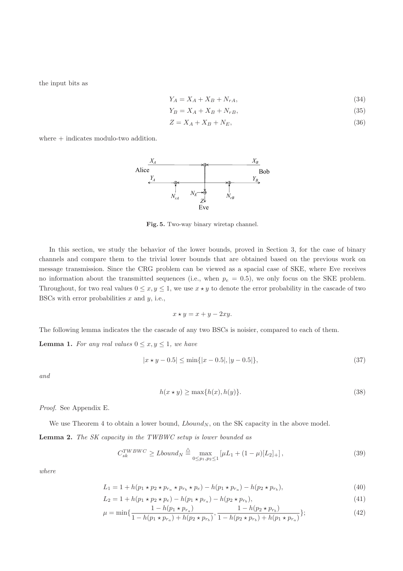the input bits as

$$
Y_A = X_A + X_B + N_{rA},\tag{34}
$$

$$
Y_B = X_A + X_B + N_{rB},\tag{35}
$$

$$
Z = X_A + X_B + N_E,\tag{36}
$$

where  $+$  indicates modulo-two addition.



Fig. 5. Two-way binary wiretap channel.

In this section, we study the behavior of the lower bounds, proved in Section 3, for the case of binary channels and compare them to the trivial lower bounds that are obtained based on the previous work on message transmission. Since the CRG problem can be viewed as a spacial case of SKE, where Eve receives no information about the transmitted sequences (i.e., when  $p_e = 0.5$ ), we only focus on the SKE problem. Throughout, for two real values  $0 \le x, y \le 1$ , we use  $x \star y$  to denote the error probability in the cascade of two BSCs with error probabilities  $x$  and  $y$ , i.e.,

$$
x \star y = x + y - 2xy.
$$

The following lemma indicates the the cascade of any two BSCs is noisier, compared to each of them.

**Lemma 1.** For any real values  $0 \le x, y \le 1$ , we have

$$
|x \star y - 0.5| \le \min\{|x - 0.5|, |y - 0.5|\},\tag{37}
$$

and

$$
h(x \star y) \ge \max\{h(x), h(y)\}.\tag{38}
$$

Proof. See Appendix E.

We use Theorem 4 to obtain a lower bound,  $Lbound_N$ , on the SK capacity in the above model.

Lemma 2. The SK capacity in the TWBWC setup is lower bounded as

$$
C_{sk}^{TWBWC} \geq Lbound_N \stackrel{\triangle}{=} \max_{0 \leq p_1, p_2 \leq 1} \left[ \mu L_1 + (1 - \mu)[L_2]_+ \right],\tag{39}
$$

where

$$
L_1 = 1 + h(p_1 \star p_2 \star p_{r_a} \star p_{r_b} \star p_e) - h(p_1 \star p_{r_a}) - h(p_2 \star p_{r_b}),
$$
\n(40)

$$
L_2 = 1 + h(p_1 \star p_2 \star p_e) - h(p_1 \star p_{r_a}) - h(p_2 \star p_{r_b}),
$$
\n
$$
1 - h(p_1 \star p_a) - h(p_2 \star p_{r_b})
$$
\n
$$
(41)
$$

$$
\mu = \min\{\frac{1 - h(p_1 \star p_{r_a})}{1 - h(p_1 \star p_{r_a}) + h(p_2 \star p_{r_b})}, \frac{1 - h(p_2 \star p_{r_b})}{1 - h(p_2 \star p_{r_b}) + h(p_1 \star p_{r_a})}\};
$$
(42)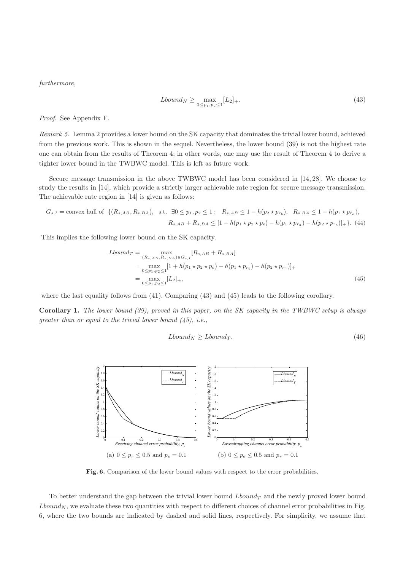furthermore,

$$
Lbound_N \ge \max_{0 \le p_1, p_2 \le 1} [L_2]_+.
$$
\n
$$
(43)
$$

Proof. See Appendix F.

Remark 5. Lemma 2 provides a lower bound on the SK capacity that dominates the trivial lower bound, achieved from the previous work. This is shown in the sequel. Nevertheless, the lower bound (39) is not the highest rate one can obtain from the results of Theorem 4; in other words, one may use the result of Theorem 4 to derive a tighter lower bound in the TWBWC model. This is left as future work.

Secure message transmission in the above TWBWC model has been considered in [14, 28]. We choose to study the results in [14], which provide a strictly larger achievable rate region for secure message transmission. The achievable rate region in [14] is given as follows:

$$
G_{s,I} = \text{convex hull of } \{ (R_{s,AB}, R_{s,BA}), \text{ s.t. } \exists 0 \le p_1, p_2 \le 1 : R_{s,AB} \le 1 - h(p_2 \star p_{r_b}), R_{s,BA} \le 1 - h(p_1 \star p_{r_a}),
$$
  

$$
R_{s,AB} + R_{s,BA} \le [1 + h(p_1 \star p_2 \star p_e) - h(p_1 \star p_{r_a}) - h(p_2 \star p_{r_b})] + \}.
$$
 (44)

This implies the following lower bound on the SK capacity.

$$
Lbound_T = \max_{(R_{s,AB}, R_{s,BA}) \in G_{s,I}} [R_{s,AB} + R_{s,BA}]
$$
  
= 
$$
\max_{0 \le p_1, p_2 \le 1} [1 + h(p_1 \star p_2 \star p_e) - h(p_1 \star p_{r_b}) - h(p_2 \star p_{r_a})]_{+}
$$
  
= 
$$
\max_{0 \le p_1, p_2 \le 1} [L_2]_{+},
$$
 (45)

where the last equality follows from (41). Comparing (43) and (45) leads to the following corollary.

Corollary 1. The lower bound (39), proved in this paper, on the SK capacity in the TWBWC setup is always greater than or equal to the trivial lower bound  $(45)$ , i.e.,

$$
Lbound_N \geq Lbound_T. \tag{46}
$$



Fig. 6. Comparison of the lower bound values with respect to the error probabilities.

To better understand the gap between the trivial lower bound  $Lbound_T$  and the newly proved lower bound  $Lbound_N$ , we evaluate these two quantities with respect to different choices of channel error probabilities in Fig. 6, where the two bounds are indicated by dashed and solid lines, respectively. For simplicity, we assume that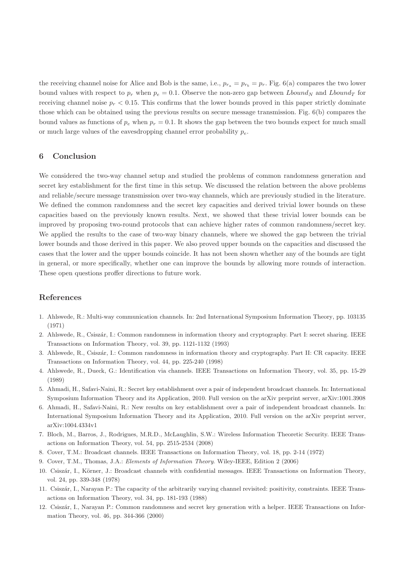the receiving channel noise for Alice and Bob is the same, i.e.,  $p_{r_a} = p_{r_b} = p_r$ . Fig. 6(a) compares the two lower bound values with respect to  $p_r$  when  $p_e = 0.1$ . Observe the non-zero gap between Lbound<sub>N</sub> and Lbound<sub>T</sub> for receiving channel noise  $p_r < 0.15$ . This confirms that the lower bounds proved in this paper strictly dominate those which can be obtained using the previous results on secure message transmission. Fig. 6(b) compares the bound values as functions of  $p_e$  when  $p_r = 0.1$ . It shows the gap between the two bounds expect for much small or much large values of the eavesdropping channel error probability  $p_e$ .

# 6 Conclusion

We considered the two-way channel setup and studied the problems of common randomness generation and secret key establishment for the first time in this setup. We discussed the relation between the above problems and reliable/secure message transmission over two-way channels, which are previously studied in the literature. We defined the common randomness and the secret key capacities and derived trivial lower bounds on these capacities based on the previously known results. Next, we showed that these trivial lower bounds can be improved by proposing two-round protocols that can achieve higher rates of common randomness/secret key. We applied the results to the case of two-way binary channels, where we showed the gap between the trivial lower bounds and those derived in this paper. We also proved upper bounds on the capacities and discussed the cases that the lower and the upper bounds coincide. It has not been shown whether any of the bounds are tight in general, or more specifically, whether one can improve the bounds by allowing more rounds of interaction. These open questions proffer directions to future work.

# References

- 1. Ahlswede, R.: Multi-way communication channels. In: 2nd International Symposium Information Theory, pp. 103135 (1971)
- 2. Ahlswede, R., Csisz´ar, I.: Common randomness in information theory and cryptography. Part I: secret sharing. IEEE Transactions on Information Theory, vol. 39, pp. 1121-1132 (1993)
- 3. Ahlswede, R., Csisz´ar, I.: Common randomness in information theory and cryptography. Part II: CR capacity. IEEE Transactions on Information Theory, vol. 44, pp. 225-240 (1998)
- 4. Ahlswede, R., Dueck, G.: Identification via channels. IEEE Transactions on Information Theory, vol. 35, pp. 15-29 (1989)
- 5. Ahmadi, H., Safavi-Naini, R.: Secret key establishment over a pair of independent broadcast channels. In: International Symposium Information Theory and its Application, 2010. Full version on the arXiv preprint server, arXiv:1001.3908
- 6. Ahmadi, H., Safavi-Naini, R.: New results on key establishment over a pair of independent broadcast channels. In: International Symposium Information Theory and its Application, 2010. Full version on the arXiv preprint server, arXiv:1004.4334v1
- 7. Bloch, M., Barros, J., Rodrigues, M.R.D., McLaughlin, S.W.: Wireless Information Theoretic Security. IEEE Transactions on Information Theory, vol. 54, pp. 2515-2534 (2008)
- 8. Cover, T.M.: Broadcast channels. IEEE Transactions on Information Theory, vol. 18, pp. 2-14 (1972)
- 9. Cover, T.M., Thomas, J.A.: Elements of Information Theory. Wiley-IEEE, Edition 2 (2006)
- 10. Csiszár, I., Körner, J.: Broadcast channels with confidential messages. IEEE Transactions on Information Theory, vol. 24, pp. 339-348 (1978)
- 11. Csisz´ar, I., Narayan P.: The capacity of the arbitrarily varying channel revisited: positivity, constraints. IEEE Transactions on Information Theory, vol. 34, pp. 181-193 (1988)
- 12. Csisz´ar, I., Narayan P.: Common randomness and secret key generation with a helper. IEEE Transactions on Information Theory, vol. 46, pp. 344-366 (2000)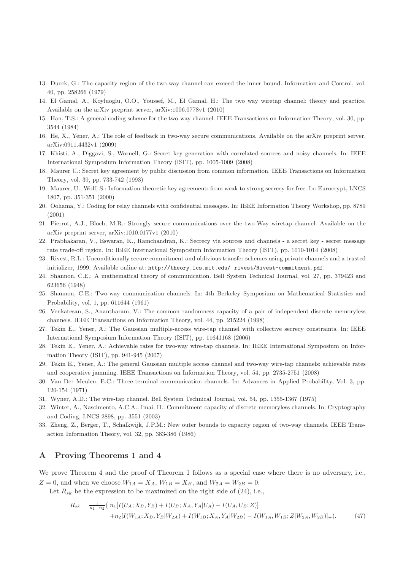- 13. Dueck, G.: The capacity region of the two-way channel can exceed the inner bound. Information and Control, vol. 40, pp. 258266 (1979)
- 14. El Gamal, A., Koyluoglu, O.O., Youssef, M., El Gamal, H.: The two way wiretap channel: theory and practice. Available on the arXiv preprint server, arXiv:1006.0778v1 (2010)
- 15. Han, T.S.: A general coding scheme for the two-way channel. IEEE Transactions on Information Theory, vol. 30, pp. 3544 (1984)
- 16. He, X., Yener, A.: The role of feedback in two-way secure communications. Available on the arXiv preprint server, arXiv:0911.4432v1 (2009)
- 17. Khisti, A., Diggavi, S., Wornell, G.: Secret key generation with correlated sources and noisy channels. In: IEEE International Symposium Information Theory (ISIT), pp. 1005-1009 (2008)
- 18. Maurer U.: Secret key agreement by public discussion from common information. IEEE Transactions on Information Theory, vol. 39, pp. 733-742 (1993)
- 19. Maurer, U., Wolf, S.: Information-theoretic key agreement: from weak to strong secrecy for free. In: Eurocrypt, LNCS 1807, pp. 351-351 (2000)
- 20. Oohama, Y.: Coding for relay channels with confidential messages. In: IEEE Information Theory Workshop, pp. 8789 (2001)
- 21. Pierrot, A.J., Bloch, M.R.: Strongly secure communications over the two-Way wiretap channel. Available on the arXiv preprint server, arXiv:1010.0177v1 (2010)
- 22. Prabhakaran, V., Eswaran, K., Ramchandran, K.: Secrecy via sources and channels a secret key secret message rate trade-off region. In: IEEE International Symposium Information Theory (ISIT), pp. 1010-1014 (2008)
- 23. Rivest, R.L.: Unconditionally secure commitment and oblivious transfer schemes using private channels and a trusted initializer, 1999. Available online at: http://theory.lcs.mit.edu/ rivest/Rivest-commitment.pdf.
- 24. Shannon, C.E.: A mathematical theory of communication. Bell System Technical Journal, vol. 27, pp. 379423 and 623656 (1948)
- 25. Shannon, C.E.: Two-way communication channels. In: 4th Berkeley Symposium on Mathematical Statistics and Probability, vol. 1, pp. 611644 (1961)
- 26. Venkatesan, S., Anantharam, V.: The common randomness capacity of a pair of independent discrete memoryless channels. IEEE Transactions on Information Theory, vol. 44, pp. 215224 (1998)
- 27. Tekin E., Yener, A.: The Gaussian multiple-access wire-tap channel with collective secrecy constraints. In: IEEE International Symposium Information Theory (ISIT), pp. 11641168 (2006)
- 28. Tekin E., Yener, A.: Achievable rates for two-way wire-tap channels. In: IEEE International Symposium on Information Theory (ISIT), pp. 941-945 (2007)
- 29. Tekin E., Yener, A.: The general Gaussian multiple access channel and two-way wire-tap channels: achievable rates and cooperative jamming. IEEE Transactions on Information Theory, vol. 54, pp. 2735-2751 (2008)
- 30. Van Der Meulen, E.C.: Three-terminal communication channels. In: Advances in Applied Probability, Vol. 3, pp. 120-154 (1971)
- 31. Wyner, A.D.: The wire-tap channel. Bell System Technical Journal, vol. 54, pp. 1355-1367 (1975)
- 32. Winter, A., Nascimento, A.C.A., Imai, H.: Commitment capacity of discrete memoryless channels. In: Cryptography and Coding, LNCS 2898, pp. 3551 (2003)
- 33. Zheng, Z., Berger, T., Schalkwijk, J.P.M.: New outer bounds to capacity region of two-way channels. IEEE Transaction Information Theory, vol. 32, pp. 383-386 (1986)

# A Proving Theorems 1 and 4

We prove Theorem 4 and the proof of Theorem 1 follows as a special case where there is no adversary, i.e.,  $Z = 0$ , and when we choose  $W_{1A} = X_A$ ,  $W_{1B} = X_B$ , and  $W_{2A} = W_{2B} = 0$ .

Let  $R_{sk}$  be the expression to be maximized on the right side of (24), i.e.,

$$
R_{sk} = \frac{1}{n_1 + n_2} \left( n_1[I(U_A; X_B, Y_B) + I(U_B; X_A, Y_A | U_A) - I(U_A, U_B; Z) ] \right)
$$

$$
+ n_2[I(W_{1A}; X_B, Y_B | W_{2A}) + I(W_{1B}; X_A, Y_A | W_{2B}) - I(W_{1A}, W_{1B}; Z | W_{2A}, W_{2B})] + ).
$$
(47)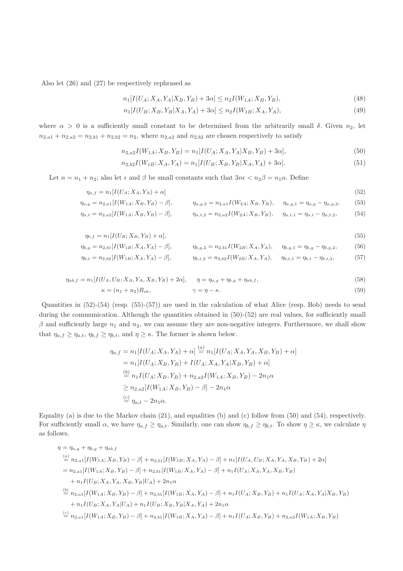Also let (26) and (27) be respectively rephrased as

$$
n_1[I(U_A; X_A, Y_A | X_B, Y_B) + 3\alpha] \le n_2 I(W_{1A}; X_B, Y_B),\tag{48}
$$

$$
n_1[I(U_B; X_B, Y_B | X_A, Y_A) + 3\alpha] \le n_2 I(W_{1B}; X_A, Y_A),\tag{49}
$$

where  $\alpha > 0$  is a sufficiently small constant to be determined from the arbitrarily small  $\delta$ . Given  $n_2$ , let  $n_{2,a_1} + n_{2,a_2} = n_{2,b_1} + n_{2,b_2} = n_2$ , where  $n_{2,a_2}$  and  $n_{2,b_2}$  are chosen respectively to satisfy

$$
n_{2,a2}I(W_{1A}; X_B, Y_B) = n_1[I(U_A; X_A, Y_A | X_B, Y_B) + 3\alpha],
$$
\n(50)

$$
n_{2,b2}I(W_{1B}; X_A, Y_A) = n_1[I(U_B; X_B, Y_B | X_A, Y_A) + 3\alpha].
$$
\n(51)

Let  $n = n_1 + n_2$ ; also let  $\epsilon$  and  $\beta$  be small constants such that  $3n\epsilon < n_2\beta = n_1\alpha$ . Define

$$
\eta_{a,f} = n_1[I(U_A; X_A, Y_A) + \alpha] \tag{52}
$$

$$
\eta_{a,g} = n_{2,a1}[I(W_{1A}; X_B, Y_B) - \beta], \qquad \eta_{a,g,2} = n_{2,a1}I(W_{2A}; X_B, Y_B), \quad \eta_{a,g,1} = \eta_{a,g} - \eta_{a,g,2}, \tag{53}
$$

$$
\eta_{a,t} = n_{2,a2}[I(W_{1A}; X_B, Y_B) - \beta], \qquad \eta_{a,t,2} = n_{2,a2}I(W_{2A}; X_B, Y_B), \quad \eta_{a,t,1} = \eta_{a,t} - \eta_{a,t,2}, \tag{54}
$$

$$
\eta_{b,f} = n_1[I(U_B; X_B, Y_B) + \alpha],\tag{55}
$$

$$
\eta_{b,g} = n_{2,b1}[I(W_{1B}; X_A, Y_A) - \beta], \qquad \eta_{b,g,2} = n_{2,b1}I(W_{2B}; X_A, Y_A), \qquad \eta_{b,g,1} = \eta_{b,g} - \eta_{b,g,2}, \tag{56}
$$

$$
\eta_{b,t} = n_{2,b2}[I(W_{1B}; X_A, Y_A) - \beta], \qquad \eta_{b,t,2} = n_{2,b2}I(W_{2B}; X_A, Y_A), \quad \eta_{b,t,1} = \eta_{b,t} - \eta_{b,t,2}, \qquad (57)
$$

$$
\eta_{ab,f} = n_1[I(U_A, U_B; X_A, Y_A, X_B, Y_B) + 2\alpha], \quad \eta = \eta_{a,g} + \eta_{b,g} + \eta_{ab,f},
$$
  
\n
$$
\kappa = (n_1 + n_2)R_{sk}, \quad \gamma = \eta - \kappa.
$$
\n(58)

Quantities in (52)-(54) (resp. (55)-(57)) are used in the calculation of what Alice (resp. Bob) needs to send during the communication. Although the quantities obtained in  $(50)-(52)$  are real values, for sufficiently small  $\beta$  and sufficiently large  $n_1$  and  $n_2$ , we can assume they are non-negative integers. Furthermore, we shall show that  $\eta_{a,f} \geq \eta_{a,t}, \eta_{b,f} \geq \eta_{b,t}$ , and  $\eta \geq \kappa$ . The former is shown below.

$$
\eta_{a,f} = n_1[I(U_A; X_A, Y_A) + \alpha] \stackrel{(a)}{=} n_1[I(U_A; X_A, Y_A, X_B, Y_B) + \alpha]
$$
  
\n
$$
= n_1[I(U_A; X_B, Y_B) + I(U_A; X_A, Y_A | X_B, Y_B) + \alpha]
$$
  
\n
$$
\stackrel{(b)}{=} n_1I(U_A; X_B, Y_B) + n_{2,a2}I(W_{1A}; X_B, Y_B) - 2n_1\alpha
$$
  
\n
$$
\ge n_{2,a2}[I(W_{1A}; X_B, Y_B) - \beta] - 2n_1\alpha
$$
  
\n
$$
\stackrel{(c)}{=} \eta_{a,t} - 2n_1\alpha.
$$

Equality (a) is due to the Markov chain (21), and equalities (b) and (c) follow from (50) and (54), respectively. For sufficiently small  $\alpha$ , we have  $\eta_{a,f} \geq \eta_{a,t}$ . Similarly, one can show  $\eta_{b,f} \geq \eta_{b,t}$ . To show  $\eta \geq \kappa$ , we calculate  $\eta$ as follows.

$$
\eta = \eta_{a,g} + \eta_{b,g} + \eta_{ab,f}
$$
\n
$$
\stackrel{(a)}{=} n_{2,a1}[I(W_{1A}; X_B, Y_B) - \beta] + n_{2,b1}[I(W_{1B}; X_A, Y_A) - \beta] + n_1[I(U_A, U_B; X_A, Y_A, X_B, Y_B) + 2\alpha]
$$
\n
$$
= n_{2,a1}[I(W_{1A}; X_B, Y_B) - \beta] + n_{2,b1}[I(W_{1B}; X_A, Y_A) - \beta] + n_1I(U_A; X_A, Y_A, X_B, Y_B)
$$
\n
$$
+ n_1I(U_B; X_A, Y_A, X_B, Y_B | U_A) + 2n_1\alpha
$$
\n
$$
\stackrel{(b)}{=} n_{2,a1}[I(W_{1A}; X_B, Y_B) - \beta] + n_{2,b1}[I(W_{1B}; X_A, Y_A) - \beta] + n_1I(U_A; X_B, Y_B) + n_1I(U_A; X_A, Y_A | X_B, Y_B)
$$
\n
$$
+ n_1I(U_B; X_A, Y_A | U_A) + n_1I(U_B; X_B, Y_B | X_A, Y_A) + 2n_1\alpha
$$
\n
$$
\stackrel{(c)}{=} n_{2,a1}[I(W_{1A}; X_B, Y_B) - \beta] + n_{2,b1}[I(W_{1B}; X_A, Y_A) - \beta] + n_1I(U_A; X_B, Y_B) + n_{2,a2}I(W_{1A}; X_B, Y_B)
$$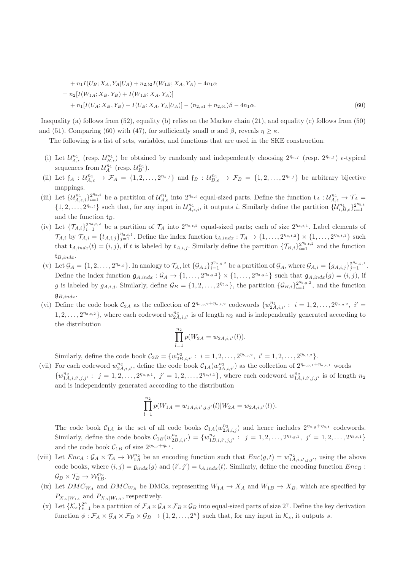+ 
$$
n_1I(U_B; X_A, Y_A|U_A) + n_{2,b2}I(W_{1B}; X_A, Y_A) - 4n_1\alpha
$$
  
\n=  $n_2[I(W_{1A}; X_B, Y_B) + I(W_{1B}; X_A, Y_A)]$   
\n+  $n_1[I(U_A; X_B, Y_B) + I(U_B; X_A, Y_A|U_A)] - (n_{2,a1} + n_{2,b1})\beta - 4n_1\alpha.$  (60)

Inequality (a) follows from (52), equality (b) relies on the Markov chain (21), and equality (c) follows from (50) and (51). Comparing (60) with (47), for sufficiently small  $\alpha$  and  $\beta$ , reveals  $\eta \geq \kappa$ .

The following is a list of sets, variables, and functions that are used in the SKE construction.

- (i) Let  $\mathcal{U}_{A,\epsilon}^{n_1}$  (resp.  $\mathcal{U}_{B,\epsilon}^{n_1}$ ) be obtained by randomly and independently choosing  $2^{n_{a,f}}$  (resp.  $2^{n_{b,f}}$ )  $\epsilon$ -typical sequences from  $\mathcal{U}_A^{n_1}$  (resp.  $\mathcal{U}_B^{n_1}$ ).
- (ii) Let  $f_A: U_{A,\epsilon}^{n_1} \to \mathcal{F}_A = \{1,2,\ldots,2^{n_a,f}\}\$  and  $f_B: U_{B,\epsilon}^{n_1} \to \mathcal{F}_B = \{1,2,\ldots,2^{n_b,f}\}\$  be arbitrary bijective mappings.
- (iii) Let  $\{\mathcal{U}_{A,\epsilon,i}^{n_1}\}_{i=1}^{2^{n_a,t}}$  be a partition of  $\mathcal{U}_{A,\epsilon}^{n_1}$  into  $2^{n_a,t}$  equal-sized parts. Define the function  $\mathfrak{t}_A: \mathcal{U}_{A,\epsilon}^{n_1} \to \mathcal{T}_A$  $\{1, 2, \ldots, 2^{n_{a,t}}\}$  such that, for any input in  $\mathcal{U}_{A,\epsilon,i}^{n_1}$ , it outputs i. Similarly define the partition  $\{\mathcal{U}_{i,B,\epsilon}^{n_1}\}_{i=1}^{2^{n_{b,t}}}$  $i=1$ and the function  $t_B$ .
- (iv) Let  $\{\mathcal{T}_{A,i}\}_{i=1}^{2^{n_a,t,2}}$  be a partition of  $\mathcal{T}_A$  into  $2^{n_a,t,2}$  equal-sized parts; each of size  $2^{n_a,t,1}$ . Label elements of  $\mathcal{T}_{A,i}$  by  $\mathcal{T}_{A,i} = \{t_{A,i,j}\}_{j=1}^{\eta_{a,t,1}}$ . Define the index function  $t_{A,indx} : \mathcal{T}_A \to \{1, \ldots, 2^{\eta_{a,t,2}}\} \times \{1, \ldots, 2^{\eta_{a,t,1}}\}$  such that  $\mathfrak{t}_{A,indx}(t) = (i, j)$ , if t is labeled by  $t_{A,i,j}$ . Similarly define the partition  $\{\mathcal{T}_{B,i}\}_{i=1}^{2^{\eta_{b,i,2}}}$  and the function  ${\mathfrak t}_{B,indx}.$
- (v) Let  $\mathcal{G}_A = \{1, 2, \ldots, 2^{n_{a,g}}\}$ . In analogy to  $\mathcal{T}_A$ , let  $\{\mathcal{G}_{A,i}\}_{i=1}^{2^{n_{a,g,2}}}$  be a partition of  $\mathcal{G}_A$ , where  $\mathcal{G}_{A,i} = \{g_{A,i,j}\}_{j=1}^{2^{n_{a,g,1}}}$ . Define the index function  $\mathfrak{g}_{A,indx} : \mathcal{G}_A \to \{1, \ldots, 2^{\eta_{a,g,2}}\} \times \{1, \ldots, 2^{\eta_{a,g,1}}\}$  such that  $\mathfrak{g}_{A,indx}(g) = (i, j)$ , if g is labeled by  $g_{A,i,j}$ . Similarly, define  $\mathcal{G}_B = \{1, 2, ..., 2^{\eta_{b,g}}\}$ , the partition  $\{\mathcal{G}_{B,i}\}_{i=1}^{2^{\eta_{b,g,2}}}$ , and the function  $\mathfrak{g}_{B,indx}.$
- (vi) Define the code book  $C_{2A}$  as the collection of  $2^{n_{a,g,2}+n_{a,t,2}}$  codewords  $\{w_{2A,i,i'}^{n_2}: i=1,2,\ldots,2^{n_{a,g,2}}, i'=\}$  $1, 2, \ldots, 2^{n_{a,t,2}}\}$ , where each codeword  $w_{2A,i,i'}^{n_2}$  is of length  $n_2$  and is independently generated according to the distribution

$$
\prod_{l=1}^{n_2} p(W_{2A} = w_{2A,i,i'}(l)).
$$

Similarly, define the code book  $C_{2B} = \{w_{2B,i,i'}^{n_2} : i = 1, 2, ..., 2^{\eta_{b,g,2}}, i' = 1, 2, ..., 2^{\eta_{b,t,2}}\}.$ 

(vii) For each codeword  $w_{2A,i,i'}^{n_2}$ , define the code book  $\mathcal{C}_{1A}(w_{2A,i,i'}^{n_2})$  as the collection of  $2^{n_{a,g,1}+n_{a,t,1}}$  words  $\{w_{1A,i,i',j,j'}^{n_2}: j=1,2,\ldots,2^{n_{a,g,1}}, j'=1,2,\ldots,2^{n_{a,t,1}}\},\$  where each codeword  $w_{1A,i,i',j,j'}^{n_2}$  is of length  $n_2$ and is independently generated according to the distribution

$$
\prod_{l=1}^{n_2} p(W_{1A} = w_{1A,i,i',j,j'}(l) | W_{2A} = w_{2A,i,i'}(l)).
$$

The code book  $C_{1A}$  is the set of all code books  $C_{1A}(w_{2A,i,j}^{n_2})$  and hence includes  $2^{n_{a,g}+n_{a,t}}$  codewords. Similarly, define the code books  $C_{1B}(w_{2B,i,i'}^{n_2}) = \{w_{1B,i,i',j,j'}^{n_2}: j = 1,2,\ldots,2^{n_{b,g,1}}, j' = 1,2,\ldots,2^{n_{b,t,1}}\}$ and the code book  $C_{1B}$  of size  $2^{\eta_{b,g} + \eta_{b,t}}$ .

- (viii) Let  $Enc_A : \mathcal{G}_A \times \mathcal{T}_A \to \mathcal{W}_{1A}^{n_2}$  be an encoding function such that  $Enc(g, t) = w_{1A, i, i', j, j'}^{n_2}$ , using the above code books, where  $(i, j) = \mathfrak{g}_{indx}(g)$  and  $(i', j') = \mathfrak{t}_{A, indx}(t)$ . Similarly, define the encoding function  $Enc_B$ :  $\mathcal{G}_B \times \mathcal{T}_B \rightarrow \mathcal{W}_{1B}^{n_2}.$
- (ix) Let  $DMC_{WA}$  and  $DMC_{WB}$  be DMCs, representing  $W_{1A} \rightarrow X_A$  and  $W_{1B} \rightarrow X_B$ , which are specified by  $P_{X_A|W_{1A}}$  and  $P_{X_B|W_{1B}}$ , respectively.
- (x) Let  $\{K_s\}_{s=1}^{2^{\kappa}}$  be a partition of  $\mathcal{F}_A \times \mathcal{G}_A \times \mathcal{F}_B \times \mathcal{G}_B$  into equal-sized parts of size  $2^{\gamma}$ . Define the key derivation function  $\phi : \mathcal{F}_A \times \mathcal{G}_A \times \mathcal{F}_B \times \mathcal{G}_B \to \{1, 2, ..., 2^{\kappa}\}\$  such that, for any input in  $\mathcal{K}_s$ , it outputs s.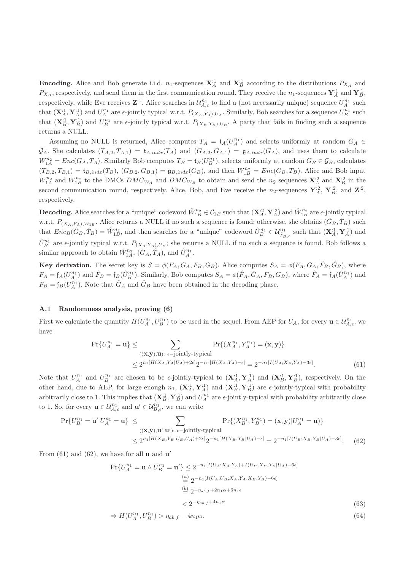**Encoding.** Alice and Bob generate i.i.d.  $n_1$ -sequences  $\mathbf{X}_A^{:1}$  and  $\mathbf{X}_B^{:1}$  according to the distributions  $P_{X_A}$  and  $P_{X_B}$ , respectively, and send them in the first communication round. They receive the  $n_1$ -sequences  $\mathbf{Y}_A^{\cdot 1}$  and  $\mathbf{Y}_B^{\cdot 1}$ , respectively, while Eve receives  $\mathbf{Z}^{:1}$ . Alice searches in  $\mathcal{U}_{A,\epsilon}^{n_1}$  to find a (not necessarily unique) sequence  $U_A^{n_1}$  such that  $(\mathbf{X}_A^{\cdot 1}, \mathbf{Y}_A^{\cdot 1})$  and  $U_A^{n_1}$  are  $\epsilon$ -jointly typical w.r.t.  $P_{(X_A, Y_A), U_A}$ . Similarly, Bob searches for a sequence  $U_B^{n_1}$  such that  $(\mathbf{X}_{B}^{:1}, \mathbf{Y}_{B}^{:1})$  and  $U_{B}^{n_1}$  are  $\epsilon$ -jointly typical w.r.t.  $P_{(X_{B}, Y_{B}), U_{B}}$ . A party that fails in finding such a sequence returns a NULL.

Assuming no NULL is returned, Alice computes  $T_A = \mathfrak{t}_A(U_A^{n_1})$  and selects uniformly at random  $G_A \in$  $\mathcal{G}_A$ . She calculates  $(T_{A,2}, T_{A,1}) = \mathfrak{t}_{A,indx}(T_A)$  and  $(G_{A,2}, G_{A,1}) = \mathfrak{g}_{A,indx}(G_A)$ , and uses them to calculate  $W_{1A}^{n_2} = Enc(G_A, T_A)$ . Similarly Bob computes  $T_B = \mathfrak{t}_B(U_B^{n_1})$ , selects uniformly at random  $G_B \in \mathcal{G}_B$ , calculates  $(T_{B,2}, T_{B,1}) = \mathfrak{t}_{B,indx}(T_B), (G_{B,2}, G_{B,1}) = \mathfrak{g}_{B,indx}(G_B),$  and then  $W_{1B}^{n_2} = Enc(G_B, T_B)$ . Alice and Bob input  $W_{1A}^{n_2}$  and  $W_{1B}^{n_2}$  to the DMCs  $DMC_{W_A}$  and  $DMC_{W_B}$  to obtain and send the  $n_2$  sequences  $\mathbf{X}_A^{:2}$  and  $\mathbf{X}_B^{:2}$  in the second communication round, respectively. Alice, Bob, and Eve receive the  $n_2$ -sequences  $\mathbf{Y}_A^2$ ,  $\mathbf{Y}_B^2$ , and  $\mathbf{Z}^2$ , respectively.

**Decoding.** Alice searches for a "unique" codeword  $\hat{W}_{1B}^{n_2} \in C_{1B}$  such that  $(\mathbf{X}_{A}^{:2}, \mathbf{Y}_{A}^{:2})$  and  $\hat{W}_{1B}^{n_2}$  are  $\epsilon$ -jointly typical w.r.t.  $P_{(X_A,Y_A),W_{1B}}$ . Alice returns a NULL if no such a sequence is found; otherwise, she obtains  $(\hat{G}_B, \hat{T}_B)$  such that  $Enc_B(\hat{G}_B, \hat{T}_B) = \hat{W}_{1B}^{n_2}$ , and then searches for a "unique" codeword  $\hat{U}_B^{n_1} \in \mathcal{U}_{\hat{T}_B,\epsilon}^{n_1}$  such that  $(\mathbf{X}_A^{:1}, \mathbf{Y}_A^{:1})$  and  $\hat{U}_{B}^{n_1}$  are  $\epsilon$ -jointly typical w.r.t.  $P_{(X_A,Y_A),U_B}$ ; she returns a NULL if no such a sequence is found. Bob follows a similar approach to obtain  $\hat{W}_{1A}^{n_2}$ ,  $(\hat{G}_A, \hat{T}_A)$ , and  $\hat{U}_A^{n_1}$ .

**Key derivation.** The secret key is  $S = \phi(F_A, G_A, F_B, G_B)$ . Alice computes  $S_A = \phi(F_A, G_A, \hat{F}_B, \hat{G}_B)$ , where  $F_A = \mathfrak{f}_A(U_A^{n_1})$  and  $\hat{F}_B = \mathfrak{f}_B(\hat{U}_B^{n_1})$ . Similarly, Bob computes  $S_A = \phi(\hat{F}_A, \hat{G}_A, F_B, G_B)$ , where  $\hat{F}_A = \mathfrak{f}_A(\hat{U}_A^{n_1})$  and  $F_B = \mathfrak{f}_B(U_A^{n_1})$ . Note that  $\hat{G}_A$  and  $\hat{G}_B$  have been obtained in the decoding phase.

# A.1 Randomness analysis, proving (6)

First we calculate the quantity  $H(U_A^{n_1}, U_B^{n_1})$  to be used in the sequel. From AEP for  $U_A$ , for every  $\mathbf{u} \in \mathcal{U}_{A,\epsilon}^{n_1}$ , we have

$$
\Pr\{U_A^{n_1} = \mathbf{u}\} \le \sum_{\substack{(\mathbf{X}, \mathbf{y}), \mathbf{u}\text{): } \epsilon-\text{jointly-typical} \\ \le 2^{n_1[H(X_A, Y_A | U_A) + 2\epsilon]} 2^{-n_1[H(X_A, X_A) - \epsilon]} = 2^{-n_1[I(U_A; X_A, Y_A) - 3\epsilon]}}.\tag{61}
$$

Note that  $U_A^{n_1}$  and  $U_B^{n_1}$  are chosen to be  $\epsilon$ -jointly-typical to  $(\mathbf{X}_A^{\cdot 1}, \mathbf{Y}_A^{\cdot 1})$  and  $(\mathbf{X}_B^{\cdot 1}, \mathbf{Y}_B^{\cdot 1})$ , respectively. On the other hand, due to AEP, for large enough  $n_1$ ,  $(\mathbf{X}_A^{\cdot 1}, \mathbf{Y}_A^{\cdot 1})$  and  $(\mathbf{X}_B^{\cdot 1}, \mathbf{Y}_B^{\cdot 1})$  are  $\epsilon$ -jointly-typical with probability arbitrarily close to 1. This implies that  $(\mathbf{X}_{B}^{:1}, \mathbf{Y}_{B}^{:1})$  and  $U_A^{n_1}$  are  $\epsilon$ -jointly-typical with probability arbitrarily close to 1. So, for every  $\mathbf{u} \in \mathcal{U}_{A,\epsilon}^{n_1}$  and  $\mathbf{u}' \in \mathcal{U}_{B,\epsilon}^{n_1}$ , we can write

$$
\Pr\{U_B^{n_1} = \mathbf{u}'|U_A^{n_1} = \mathbf{u}\} \le \sum_{\left((\mathbf{x}, \mathbf{y}), \mathbf{u}', \mathbf{u}'\right): \epsilon \text{ -jointly-typical} \atop \le 2^{n_1[H(X_B, Y_B | U_B, U_A) + 2\epsilon]} 2^{-n_1[H(X_B, Y_B | U_A) - \epsilon]} = 2^{-n_1[I(U_B; X_B, Y_B | U_A) - 3\epsilon]}.
$$
\n
$$
(62)
$$

From  $(61)$  and  $(62)$ , we have for all **u** and **u'** 

$$
\Pr\{U_A^{n_1} = \mathbf{u} \wedge U_B^{n_1} = \mathbf{u}'\} \le 2^{-n_1[I(U_A; X_A, Y_A) + I(U_B; X_B, Y_B | U_A) - 6\epsilon]}
$$
  
\n
$$
\stackrel{(a)}{=} 2^{-n_1[I(U_A, U_B; X_A, Y_A, X_B, Y_B) - 6\epsilon]}
$$
  
\n
$$
\stackrel{(b)}{=} 2^{-\eta_{ab,f} + 2n_1\alpha + 6n_1\epsilon}
$$
  
\n
$$
< 2^{-\eta_{ab,f} + 4n_1\alpha}
$$
\n(63)

$$
\Rightarrow H(U_A^{n_1}, U_B^{n_1}) > \eta_{ab,f} - 4n_1\alpha. \tag{64}
$$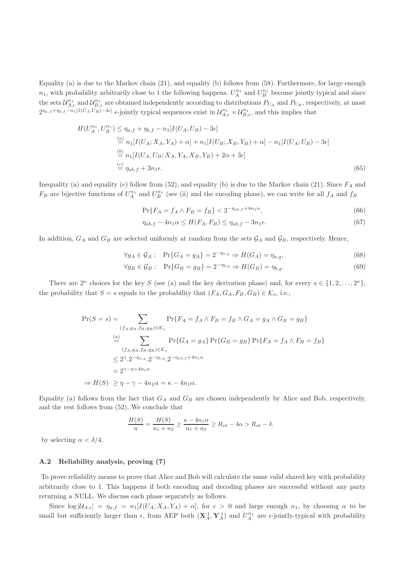Equality (a) is due to the Markov chain (21), and equality (b) follows from (58). Furthermore, for large enough  $n_1$ , with probability arbitrarily close to 1 the following happens.  $U_A^{n_1}$  and  $U_B^{n_1}$  become jointly typical and since the sets  $\mathcal{U}_{A,\epsilon}^{n_1}$  and  $\mathcal{U}_{B,\epsilon}^{n_1}$  are obtained independently according to distributions  $P_{U_A}$  and  $P_{U_B}$ , respectively, at most  $2^{n_{a,f} + n_{b,f} - n_1[I(U_A;U_B) - 3\epsilon]}$  e-jointly typical sequences exist in  $\mathcal{U}_{A,\epsilon}^{n_1} \times \mathcal{U}_{B,\epsilon}^{n_1}$ , and this implies that

$$
H(U_A^{n_1}, U_B^{n_1}) \le \eta_{a,f} + \eta_{b,f} - n_1[I(U_A; U_B) - 3\epsilon]
$$
  
\n
$$
\stackrel{(a)}{=} n_1[I(U_A; X_A, Y_A) + \alpha] + n_1[I(U_B; X_B, Y_B) + \alpha] - n_1[I(U_A; U_B) - 3\epsilon]
$$
  
\n
$$
\stackrel{(b)}{=} n_1[I(U_A, U_B; X_A, Y_A, X_B, Y_B) + 2\alpha + 3\epsilon]
$$
  
\n
$$
\stackrel{(c)}{=} \eta_{ab,f} + 3\eta_{1}\epsilon.
$$
  
\n(65)

Inequality (a) and equality (c) follow from (52), and equality (b) is due to the Markov chain (21). Since  $F_A$  and  $F_B$  are bijective functions of  $U_A^{n_1}$  and  $U_B^{n_1}$  (see (ii) and the encoding phase), we can write for all  $f_A$  and  $f_B$ 

$$
\Pr\{F_A = f_A \land F_B = f_B\} < 2^{-\eta_{ab,f} + 4n_1\alpha},\tag{66}
$$

$$
\eta_{ab,f} - 4n_1 \alpha \le H(F_A, F_B) \le \eta_{ab,f} - 3n_1 \epsilon. \tag{67}
$$

In addition,  $G_A$  and  $G_B$  are selected uniformly at random from the sets  $\mathcal{G}_A$  and  $\mathcal{G}_B$ , respectively. Hence,

$$
\forall g_A \in \mathcal{G}_A: \quad \Pr\{G_A = g_A\} = 2^{-\eta_{a,g}} \Rightarrow H(G_A) = \eta_{a,g},\tag{68}
$$

$$
\forall g_B \in \mathcal{G}_B: \quad \Pr\{G_B = g_B\} = 2^{-\eta_{b,g}} \Rightarrow H(G_B) = \eta_{b,g}.\tag{69}
$$

There are  $2^{\kappa}$  choices for the key S (see (x) and the key derivation phase) and, for every  $s \in \{1, 2, ..., 2^{\kappa}\},$ the probability that  $S = s$  equals to the probability that  $(F_A, G_A, F_B, G_B) \in \mathcal{K}_s$ , i.e.,

$$
\Pr(S = s) = \sum_{(f_A, g_A, f_B, g_B) \in \mathcal{K}_s} \Pr\{F_A = f_A \land F_B = f_B \land G_A = g_A \land G_B = g_B\}
$$
  
\n
$$
\stackrel{(a)}{=} \sum_{(f_A, g_A, f_B, g_B) \in \mathcal{K}_s} \Pr\{G_A = g_A\} \Pr\{G_B = g_B\} \Pr\{F_A = f_A \land F_B = f_B\}
$$
  
\n
$$
\leq 2^{\gamma} \cdot 2^{-\eta_{a,g}} \cdot 2^{-\eta_{b,g}} \cdot 2^{-\eta_{ab,f} + 4n_1\alpha}
$$
  
\n
$$
= 2^{\gamma - \eta + 4n_1\alpha}
$$
  
\n
$$
\Rightarrow H(S) \geq \eta - \gamma - 4n_1\alpha = \kappa - 4n_1\alpha.
$$

Equality (a) follows from the fact that  $G_A$  and  $G_B$  are chosen independently by Alice and Bob, respectively, and the rest follows from (52). We conclude that

$$
\frac{H(S)}{n} = \frac{H(S)}{n_1 + n_2} \ge \frac{\kappa - 4n_1\alpha}{n_1 + n_2} \ge R_{sk} - 4\alpha > R_{sk} - \delta.
$$

by selecting  $\alpha < \delta/4$ .

### A.2 Reliability analysis, proving (7)

To prove reliability means to prove that Alice and Bob will calculate the same valid shared key with probability arbitrarily close to 1. This happens if both encoding and decoding phases are successful without any party returning a NULL. We discuss each phase separately as follows.

Since  $\log|\mathcal{U}_{A,\epsilon}| = \eta_{a,f} = n_1[I(U_A; X_A, Y_A) + \alpha],$  for  $\epsilon > 0$  and large enough  $n_1$ , by choosing  $\alpha$  to be small but sufficiently larger than  $\epsilon$ , from AEP both  $(\mathbf{X}_A^{\cdot 1}, \mathbf{Y}_A^{\cdot 1})$  and  $U_A^{n_1}$  are  $\epsilon$ -jointly-typical with probability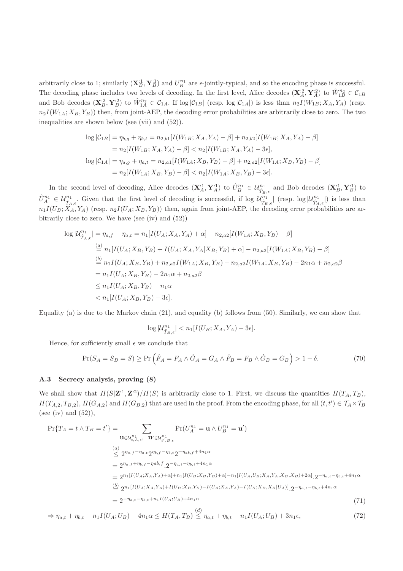arbitrarily close to 1; similarly  $(X_B^1, Y_B^1)$  and  $U_B^{n_1}$  are  $\epsilon$ -jointly-typical, and so the encoding phase is successful. The decoding phase includes two levels of decoding. In the first level, Alice decodes  $(\mathbf{X}_A^{\cdot2}, \mathbf{Y}_A^{\cdot2})$  to  $\hat{W}_{1B}^{n_2} \in \mathcal{C}_{1B}$ and Bob decodes  $(\mathbf{X}_{B}^{:2}, \mathbf{Y}_{B}^{:2})$  to  $\hat{W}_{1A}^{n_2} \in C_{1A}$ . If  $\log|\mathcal{C}_{1B}|$  (resp.  $\log|\mathcal{C}_{1A}|$ ) is less than  $n_2I(W_{1B}; X_A, Y_A)$  (resp.  $n_2I(W_{1A}; X_B, Y_B)$ ) then, from joint-AEP, the decoding error probabilities are arbitrarily close to zero. The two inequalities are shown below (see (vii) and (52)).

$$
\log |\mathcal{C}_{1B}| = \eta_{b,g} + \eta_{b,t} = n_{2,b1}[I(W_{1B}; X_A, Y_A) - \beta] + n_{2,b2}[I(W_{1B}; X_A, Y_A) - \beta]
$$
  
\n
$$
= n_2[I(W_{1B}; X_A, Y_A) - \beta] < n_2[I(W_{1B}; X_A, Y_A) - 3\epsilon],
$$
  
\n
$$
\log |\mathcal{C}_{1A}| = \eta_{a,g} + \eta_{a,t} = n_{2,a1}[I(W_{1A}; X_B, Y_B) - \beta] + n_{2,a2}[I(W_{1A}; X_B, Y_B) - \beta]
$$
  
\n
$$
= n_2[I(W_{1A}; X_B, Y_B) - \beta] < n_2[I(W_{1A}; X_B, Y_B) - 3\epsilon].
$$

In the second level of decoding, Alice decodes  $(\mathbf{X}_A^{\cdot 1}, \mathbf{Y}_A^{\cdot 1})$  to  $\hat{U}_B^{n_1} \in \mathcal{U}_{\hat{T}_B,\epsilon}^{n_1}$  and Bob decodes  $(\mathbf{X}_B^{\cdot 1}, \mathbf{Y}_B^{\cdot 1})$  to  $\hat{U}_{A}^{n_1} \in \mathcal{U}_{\hat{T}_A,\epsilon}^{n_1}$ . Given that the first level of decoding is successful, if  $\log|\mathcal{U}_{\hat{T}_B,\epsilon}^{n_1}|$  (resp.  $\log|\mathcal{U}_{\hat{T}_A,\epsilon}^{n_1}|$ ) is less than  $n_1I(U_B; X_A, Y_A)$  (resp.  $n_2I(U_A; X_B, Y_B)$ ) then, again from joint-AEP, the decoding error probabilities are arbitrarily close to zero. We have (see (iv) and (52))

$$
\log |\mathcal{U}_{\hat{T}_A,\epsilon}^{n_1}| = \eta_{a,f} - \eta_{a,t} = n_1[I(U_A; X_A, Y_A) + \alpha] - n_{2,a2}[I(W_{1A}; X_B, Y_B) - \beta]
$$
  
\n
$$
\stackrel{(a)}{=} n_1[I(U_A; X_B, Y_B) + I(U_A; X_A, Y_A | X_B, Y_B) + \alpha] - n_{2,a2}[I(W_{1A}; X_B, Y_B) - \beta]
$$
  
\n
$$
\stackrel{(b)}{=} n_1I(U_A; X_B, Y_B) + n_{2,a2}I(W_{1A}; X_B, Y_B) - n_{2,a2}I(W_{1A}; X_B, Y_B) - 2n_1\alpha + n_{2,a2}\beta
$$
  
\n
$$
= n_1I(U_A; X_B, Y_B) - 2n_1\alpha + n_{2,a2}\beta
$$
  
\n
$$
\le n_1I(U_A; X_B, Y_B) - n_1\alpha
$$
  
\n
$$
< n_1[I(U_A; X_B, Y_B) - 3\epsilon].
$$

Equality (a) is due to the Markov chain (21), and equality (b) follows from (50). Similarly, we can show that

$$
\log |\mathcal{U}_{\hat{T}_B,\epsilon}^{n_1}| < n_1[I(U_B;X_A,Y_A) - 3\epsilon].
$$

Hence, for sufficiently small  $\epsilon$  we conclude that

$$
\Pr(S_A = S_B = S) \ge \Pr\left(\hat{F}_A = F_A \land \hat{G}_A = G_A \land \hat{F}_B = F_B \land \hat{G}_B = G_B\right) > 1 - \delta. \tag{70}
$$

### A.3 Secrecy analysis, proving (8)

We shall show that  $H(S|\mathbf{Z}^{1}, \mathbf{Z}^{2})/H(S)$  is arbitrarily close to 1. First, we discuss the quantities  $H(T_A, T_B)$ ,  $H(T_{A,2}, T_{B,2}), H(G_{A,2})$  and  $H(G_{B,2})$  that are used in the proof. From the encoding phase, for all  $(t, t') \in \mathcal{T}_A \times \mathcal{T}_B$ (see (iv) and  $(52)$ ),

$$
\Pr\{T_A = t \land T_B = t'\} = \sum_{\mathbf{u} \in \mathcal{U}_{t,A,\epsilon}^{n_1}, \mathbf{u}' \in \mathcal{U}_{t',B,\epsilon}^{n_1}} \Pr(U_A^{n_1} = \mathbf{u} \land U_B^{n_1} = \mathbf{u}')
$$
\n
$$
\stackrel{(a)}{\leq} 2^{n_{a,f} - n_{a,t}} 2^{n_{b,f} - n_{b,t}} 2^{-n_{ab,f} + 4n_1 \alpha}
$$
\n
$$
= 2^{n_{a,f} + n_{b,f} - n_{ab,f}} 2^{-n_{a,t} - n_{b,t} + 4n_1 \alpha}
$$
\n
$$
= 2^{n_1[I(U_A; X_A, Y_A) + \alpha] + n_1[I(U_B; X_B, Y_B) + \alpha] - n_1[I(U_A, U_B; X_A, Y_A, X_B, X_B) + 2\alpha]} 2^{-n_{a,t} - n_{b,t} + 4n_1 \alpha}
$$
\n
$$
\stackrel{(b)}{=} 2^{n_1[I(U_A; X_A, Y_A) + I(U_B; X_B, Y_B) - I(U_A; X_A, Y_A) - I(U_B; X_B, X_B | U_A)]} 2^{-n_{a,t} - n_{b,t} + 4n_1 \alpha}
$$
\n
$$
= 2^{-n_{a,t} - n_{b,t} + n_1 I(U_A; U_B) + 4n_1 \alpha}
$$
\n(71)

 $\Rightarrow \eta_{a,t} + \eta_{b,t} - n_1 I(U_A; U_B) - 4n_1 \alpha \leq H(T_A, T_B) \stackrel{(d)}{\leq} \eta_{a,t} + \eta_{b,t} - n_1 I(U_A; U_B) + 3n_1 \epsilon,$  (72)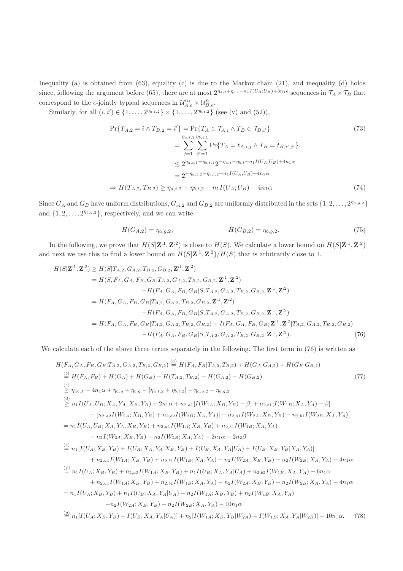Inequality (a) is obtained from (63), equality (c) is due to the Markov chain (21), and inequality (d) holds since, following the argument before (65), there are at most  $2^{n_{a,t} + n_{b,t} - n_1 I(U_A;U_B) + 3n_1 \epsilon}$  sequences in  $\mathcal{T}_A \times \mathcal{T}_B$  that correspond to the  $\epsilon$ -jointly typical sequences in  $\mathcal{U}_{A,\epsilon}^{n_1} \times \mathcal{U}_{B,\epsilon}^{n_1}$ .

Similarly, for all  $(i, i') \in \{1, ..., 2^{n_{a,t,2}}\} \times \{1, ..., 2^{n_{b,t,2}}\}$  (see (v) and (52)),

$$
\Pr\{T_{A,2} = i \land T_{B,2} = i'\} = \Pr\{T_A \in \mathcal{T}_{A,i} \land T_B \in \mathcal{T}_{B,i'}\}
$$
\n
$$
= \sum_{j=1}^{\eta_{a,t,1}} \sum_{j'=1}^{\eta_{b,t,1}} \Pr\{T_A = t_{A,i,j} \land T_B = t_{B,i',j'}\}
$$
\n
$$
\leq 2^{\eta_{a,t,1} + \eta_{b,t,1}} 2^{-\eta_{a,t} - \eta_{b,t} + n_1 I(U_A;U_B) + 4n_1 \alpha}
$$
\n
$$
= 2^{-\eta_{a,t,2} - \eta_{b,t,2} + n_1 I(U_A;U_B) + 4n_1 \alpha}
$$
\n
$$
\Rightarrow H(T_{A,2}, T_{B,2}) \geq \eta_{a,t,2} + \eta_{b,t,2} - n_1 I(U_A;U_B) - 4n_1 \alpha
$$
\n(74)

Since  $G_A$  and  $G_B$  have uniform distributions,  $G_{A,2}$  and  $G_{B,2}$  are uniformly distributed in the sets  $\{1, 2, \ldots, 2^{\eta_{a,g,2}}\}$ and  $\{1, 2, \ldots, 2^{\eta_{b,g,2}}\}$ , respectively, and we can write

$$
H(G_{A,2}) = \eta_{a,g,2}, \qquad H(G_{B,2}) = \eta_{b,g,2}.\tag{75}
$$

In the following, we prove that  $H(S|\mathbf{Z}^{\cdot 1}, \mathbf{Z}^{\cdot 2})$  is close to  $H(S)$ . We calculate a lower bound on  $H(S|\mathbf{Z}^{\cdot 1}, \mathbf{Z}^{\cdot 2})$ and next we use this to find a lower bound on  $H(S|\mathbf{Z}^{\text{-}1}, \mathbf{Z}^{\text{-}2})/H(S)$  that is arbitrarily close to 1.

$$
H(S|\mathbf{Z}^{:1}, \mathbf{Z}^{:2}) \geq H(S|T_{A,2}, G_{A,2}, T_{B,2}, G_{B,2}, \mathbf{Z}^{:1}, \mathbf{Z}^{:2})
$$
  
\n
$$
= H(S, F_A, G_A, F_B, G_B|T_{A,2}, G_{A,2}, T_{B,2}, G_{B,2}, \mathbf{Z}^{:1}, \mathbf{Z}^{:2})
$$
  
\n
$$
-H(F_A, G_A, F_B, G_B|S, T_{A,2}, G_{A,2}, T_{B,2}, G_{B,2}, \mathbf{Z}^{:1}, \mathbf{Z}^{:2})
$$
  
\n
$$
= H(F_A, G_A, F_B, G_B|T_{A,2}, G_{A,2}, T_{B,2}, G_{B,2}, \mathbf{Z}^{:1}, \mathbf{Z}^{:2})
$$
  
\n
$$
-H(F_A, G_A, F_B, G_B|S, T_{A,2}, G_{A,2}, T_{B,2}, G_{B,2}, \mathbf{Z}^{:1}, \mathbf{Z}^{:2})
$$
  
\n
$$
= H(F_A, G_A, F_B, G_B|T_{A,2}, G_{A,2}, T_{B,2}, G_{B,2}) - I(F_A, G_A, F_B, G_B; \mathbf{Z}^{:1}, \mathbf{Z}^{:2}|T_{A,2}, G_{A,2}, T_{B,2}, G_{B,2})
$$
  
\n
$$
-H(F_A, G_A, F_B, G_B|S, T_{A,2}, G_{A,2}, T_{B,2}, G_{B,2}, \mathbf{Z}^{:1}, \mathbf{Z}^{:2}).
$$
 (76)

We calculate each of the above three terms separately in the following. The first term in (76) is written as

$$
H(F_A, G_A, F_B, G_B | T_{A,2}, G_{A,2}, T_{B,2}, G_{B,2}) \stackrel{(a)}{=} H(F_A, F_B | T_{A,2}, T_{B,2}) + H(G_A | G_{A,2}) + H(G_B | G_{B,2})
$$
\n
$$
\stackrel{(b)}{=} H(F_A, F_B) + H(G_A) + H(G_B) - H(T_{A,2}, T_{B,2}) - H(G_{A,2}) - H(G_{B,2})
$$
\n
$$
\stackrel{(c)}{>} \eta_{ab,f} - 4n_1\alpha + \eta_{a,g} + \eta_{b,g} - [n_{a,i,2} + \eta_{b,i,2}] - \eta_{a,g,2} - \eta_{b,g,2}
$$
\n
$$
\stackrel{(d)}{=} n_1 I(U_A, U_B; X_A, Y_A, X_B, Y_B) - 2n_1\alpha + n_{2,a,1}[I(W_{1A}; X_B, Y_B) - \beta] + n_{2,b,1}[I(W_{1B}; X_A, Y_A) - \beta]
$$
\n
$$
- [n_{2,a,2}I(W_{2A}; X_B, Y_B) + n_{2,b}I(W_{2B}; X_A, Y_A)] - n_{2,a,1}I(W_{2A}; X_B, Y_B) - n_{2,b,1}I(W_{2B}; X_A, Y_A)
$$
\n
$$
- n_2 I(W_{2A}; X_B, Y_B) + n_{2,a,1}I(W_{1A}; X_B, Y_B) + n_{2,b,1}I(W_{1B}; X_A, Y_A)
$$
\n
$$
- n_2 I(W_{2A}; X_B, Y_B) - n_2 I(W_{2B}; X_A, Y_A) - 2n_1\alpha - 2n_2\beta
$$
\n
$$
\stackrel{(e)}{=} n_1 [I(U_A; X_B, Y_B) + I(U_A; X_A, Y_A | X_B, Y_B) + I(U_B; X_A, Y_A | U_A) + I(U_B; X_B, Y_B | X_A, Y_A)]
$$
\n
$$
+ n_{2,a,1}I(W_{1A}; X_B, Y_B) + n_{2,b,1}I(W_{1B}; X_A, Y_A) - n_2 I(W_{2A}; X_B, Y_B) - n_2 I(W_{2B}; X_A, Y_A) - 6n_1\alpha
$$
\n
$$
\stackrel{(f)}{=} n_1 I(U_A; X_B, Y_B) + n_{2,a,2}I(W_{1A}; X_B, Y_B) + n_1 I
$$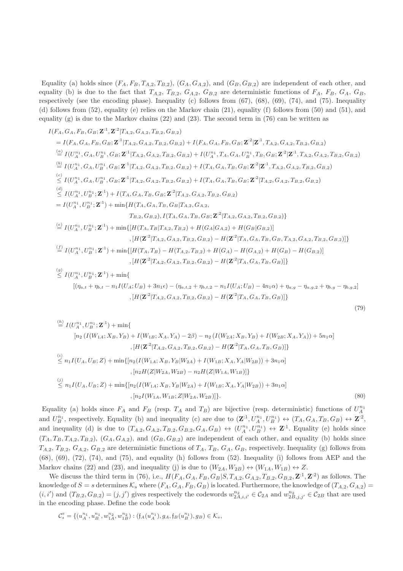Equality (a) holds since  $(F_A, F_B, T_{A,2}, T_{B,2}), (G_A, G_{A,2}),$  and  $(G_B, G_{B,2})$  are independent of each other, and equality (b) is due to the fact that  $T_{A,2}$ ,  $T_{B,2}$ ,  $G_{A,2}$ ,  $G_{B,2}$  are deterministic functions of  $F_A$ ,  $F_B$ ,  $G_A$ ,  $G_B$ , respectively (see the encoding phase). Inequality (c) follows from (67), (68), (69), (74), and (75). Inequality (d) follows from (52), equality (e) relies on the Markov chain (21), equality (f) follows from (50) and (51), and equality  $(g)$  is due to the Markov chains  $(22)$  and  $(23)$ . The second term in  $(76)$  can be written as

$$
I(F_A, G_A, F_B, G_B; \mathbf{Z}^1, \mathbf{Z}^2 | T_{A,2}, G_{A,2}, T_{B,2}, G_{B,2})
$$
\n
$$
= I(F_A, G_A, F_B, G_B; \mathbf{Z}^1 | T_{A,2}, G_{A,2}, T_{B,2}, G_{B,2}) + I(F_A, G_A, F_B, G_B; \mathbf{Z}^2 | \mathbf{Z}^1, T_{A,2}, G_{A,2}, T_{B,2}, G_{B,2})
$$
\n
$$
\stackrel{(a)}{=} I(U_A^{n_1}, G_A, U_B^{n_1}, G_B; \mathbf{Z}^1 | T_{A,2}, G_{A,2}, T_{B,2}, G_{B,2}) + I(U_A^{n_1}, T_A, G_A, U_B^{n_1}, T_B, G_B; \mathbf{Z}^2 | \mathbf{Z}^1, T_{A,2}, G_{A,2}, T_{B,2}, G_{B,2})
$$
\n
$$
\stackrel{(b)}{=} I(U_A^{n_1}, G_A, U_B^{n_1}, G_B; \mathbf{Z}^1 | T_{A,2}, G_{A,2}, T_{B,2}, G_{B,2}) + I(T_A, G_A, T_B, G_B; \mathbf{Z}^2 | \mathbf{Z}^1, T_{A,2}, G_{A,2}, T_{B,2}, G_{B,2})
$$
\n
$$
\stackrel{(c)}{=} I(U_A^{n_1}, G_A, U_B^{n_1}; \mathbf{Z}^1) + I(T_A, G_A, T_B, G_B; \mathbf{Z}^2 | T_{A,2}, G_{A,2}, T_B, G_B; \mathbf{Z}^2 | T_{A,2}, G_{A,2}, T_{B,2}, G_{B,2})
$$
\n
$$
= I(U_A^{n_1}, U_B^{n_1}; \mathbf{Z}^1) + \min\{H(T_A, G_A, T_B, G_B; \mathbf{Z}^2 | T_{A,2}, G_{A,2}, T_B, G_B, 2)\}
$$
\n
$$
= I(U_A^{n_1}, U_B^{n_1}; \mathbf{Z}^1) + \min\{H(T_A, G_A, T_B, G_B; \mathbf{Z}^2 | T_{A,2}, G_{A,2}, T_B, G_B, 2)\}
$$
\n
$$
= I(U_A^{n_1}, U_B^{n_1}; \mathbf{Z}^1) + \min\
$$

$$
\stackrel{(h)}{=} I(U_A^{n_1}, U_B^{n_1}; \mathbf{Z}^{1}) + \min\{ \\
 [n_2 (I(W_{1A}; X_B, Y_B) + I(W_{1B}; X_A, Y_A) - 2\beta) - n_2 (I(W_{2A}; X_B, Y_B) + I(W_{2B}; X_A, Y_A)) + 5n_1\alpha] \\
 [H(\mathbf{Z}^{12}|T_{A,2}, G_{A,2}, T_{B,2}, G_{B,2}) - H(\mathbf{Z}^{12}|T_A, G_A, T_B, G_B)]\} \\
\stackrel{(i)}{\leq} n_1 I(U_A, U_B; Z) + \min\{[n_2 (I(W_{1A}; X_B, Y_B|W_{2A}) + I(W_{1B}; X_A, Y_A|W_{2B})) + 3n_1\alpha] \\
 [n_2 H(Z|W_{2A}, W_{2B}) - n_2 H(Z|W_{1A}, W_{1B})]\} \\
 \stackrel{(j)}{\leq} n_1 I(U_A, U_B; Z) + \min\{[n_2 (I(W_{1A}; X_B, Y_B|W_{2A}) + I(W_{1B}; X_A, Y_A|W_{2B})) + 3n_1\alpha] \\
 [n_2 I(W_{1A}, W_{1B}; Z|W_{2A}, W_{2B})]\}.
$$
\n
$$
(80)
$$

 $\{[H({\bf Z}^{:2}|T_{A,2},G_{A,2},T_{B,2},G_{B,2})-H({\bf Z}^{:2}|T_{A},G_{A},T_{B},G_{B})]\}$ 

(79)

Equality (a) holds since  $F_A$  and  $F_B$  (resp.  $T_A$  and  $T_B$ ) are bijective (resp. deterministic) functions of  $U_A^{n_1}$ and  $U_B^{n_1}$ , respectively. Equality (b) and inequality (c) are due to  $(\mathbf{Z}^{:1}, U_A^{n_1}, U_B^{n_1}) \leftrightarrow (T_A, G_A, T_B, G_B) \leftrightarrow \mathbf{Z}^{:2}$ , and inequality (d) is due to  $(T_{A,2}, G_{A,2}, T_{B,2}, G_{B,2}, G_A, G_B) \leftrightarrow (U_A^{n_1}, U_B^{n_1}) \leftrightarrow \mathbf{Z}^{\text{-}1}$ . Equality (e) holds since  $(T_A, T_B, T_{A,2}, T_{B,2}), (G_A, G_{A,2}),$  and  $(G_B, G_{B,2})$  are independent of each other, and equality (b) holds since  $T_{A,2}, T_{B,2}, G_{A,2}, G_{B,2}$  are deterministic functions of  $T_A, T_B, G_A, G_B$ , respectively. Inequality (g) follows from (68), (69), (72), (74), and (75), and equality (h) follows from (52). Inequality (i) follows from AEP and the Markov chains (22) and (23), and inequality (j) is due to  $(W_{2A}, W_{2B}) \leftrightarrow (W_{1A}, W_{1B}) \leftrightarrow Z$ .

We discuss the third term in (76), i.e.,  $H(F_A, G_A, F_B, G_B | S, T_{A,2}, G_{A,2}, T_{B,2}, G_{B,2}, \mathbf{Z}^{:1}, \mathbf{Z}^{:2})$  as follows. The knowledge of  $S = s$  determines  $\mathcal{K}_s$  where  $(F_A, G_A, F_B, G_B)$  is located. Furthermore, the knowledge of  $(T_{A,2}, G_{A,2})$  $(i, i')$  and  $(T_{B,2}, G_{B,2}) = (j, j')$  gives respectively the codewords  $w_{2A,i,i'}^{n_2} \in C_{2A}$  and  $w_{2B,j,j'}^{n_2} \in C_{2B}$  that are used in the encoding phase. Define the code book

$$
\mathcal{C}^e_s = \{(u^{n_1}_A, u^{n_1}_B, w^{n_2}_{1A}, w^{n_2}_{1B}) : (\mathfrak{f}_A(u^{n_1}_A), g_A, \mathfrak{f}_B(u^{n_1}_B), g_B) \in \mathcal{K}_s,
$$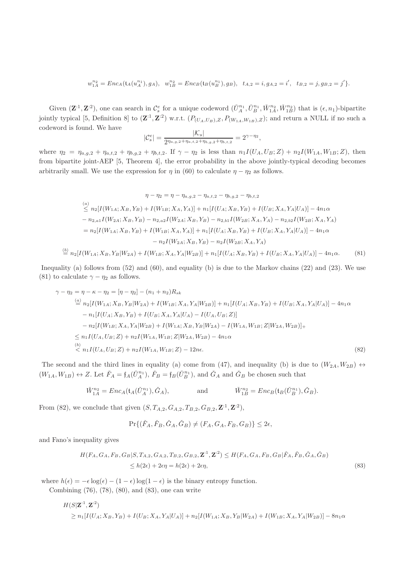$$
w_{1A}^{n_2} = Enc_A(t_A(u_A^{n_1}), g_A), \quad w_{1B}^{n_2} = Enc_B(t_B(u_B^{n_1}), g_B), \quad t_{A,2} = i, g_{A,2} = i', \quad t_{B,2} = j, g_{B,2} = j' \}.
$$

Given  $(\mathbf{Z}^{1}, \mathbf{Z}^{2})$ , one can search in  $\mathcal{C}_{s}^{e}$  for a unique codeword  $(\check{U}_{A}^{n_1}, \check{U}_{B}^{n_1}, \check{W}_{1A}^{n_2}, \check{W}_{1B}^{n_2})$  that is  $(\epsilon, n_1)$ -bipartite jointly typical [5, Definition 8] to  $(\mathbf{Z}^{\cdot 1}, \mathbf{Z}^{\cdot 2})$  w.r.t.  $(P_{(U_A, U_B), Z}, P_{(W_{1A}, W_{1B}), Z})$ ; and return a NULL if no such a codeword is found. We have

$$
|\mathcal{C}_s^e| = \frac{|\mathcal{K}_s|}{2^{\eta_{a,g,2} + \eta_{a,t,2} + \eta_{b,g,2} + \eta_{b,t,2}}} = 2^{\gamma - \eta_2},
$$

where  $\eta_2 = \eta_{a,g,2} + \eta_{a,t,2} + \eta_{b,g,2} + \eta_{b,t,2}$ . If  $\gamma - \eta_2$  is less than  $n_1I(U_A, U_B; Z) + n_2I(W_{1A}, W_{1B}; Z)$ , then from bipartite joint-AEP [5, Theorem 4], the error probability in the above jointly-typical decoding becomes arbitrarily small. We use the expression for  $\eta$  in (60) to calculate  $\eta - \eta_2$  as follows.

$$
\eta - \eta_2 = \eta - \eta_{a,g,2} - \eta_{a,t,2} - \eta_{b,g,2} - \eta_{b,t,2}
$$
\n
$$
\leq n_2[I(W_{1A}; X_B, Y_B) + I(W_{1B}; X_A, Y_A)] + n_1[I(U_A; X_B, Y_B) + I(U_B; X_A, Y_A | U_A)] - 4n_1\alpha
$$
\n
$$
- n_{2,a1}I(W_{2A}; X_B, Y_B) - n_{2,a2}I(W_{2A}; X_B, Y_B) - n_{2,b1}I(W_{2B}; X_A, Y_A) - n_{2,b2}I(W_{2B}; X_A, Y_A)
$$
\n
$$
= n_2[I(W_{1A}; X_B, Y_B) + I(W_{1B}; X_A, Y_A)] + n_1[I(U_A; X_B, Y_B) + I(U_B; X_A, Y_A | U_A)] - 4n_1\alpha
$$
\n
$$
- n_2I(W_{2A}; X_B, Y_B) - n_2I(W_{2B}; X_A, Y_A)
$$
\n
$$
\stackrel{(b)}{=} n_2[I(W_{1A}; X_B, Y_B | W_{2A}) + I(W_{1B}; X_A, Y_A | W_{2B})] + n_1[I(U_A; X_B, Y_B) + I(U_B; X_A, Y_A | U_A)] - 4n_1\alpha. \tag{81}
$$

Inequality (a) follows from (52) and (60), and equality (b) is due to the Markov chains (22) and (23). We use (81) to calculate  $\gamma - \eta_2$  as follows.

$$
\gamma - \eta_2 = \eta - \kappa - \eta_2 = [\eta - \eta_2] - (n_1 + n_2)R_{sk}
$$
  
\n
$$
\stackrel{(a)}{=} n_2[I(W_{1A}; X_B, Y_B|W_{2A}) + I(W_{1B}; X_A, Y_A|W_{2B})] + n_1[I(U_A; X_B, Y_B) + I(U_B; X_A, Y_A|U_A)] - 4n_1\alpha
$$
  
\n
$$
- n_1[I(U_A; X_B, Y_B) + I(U_B; X_A, Y_A|U_A) - I(U_A, U_B; Z)]
$$
  
\n
$$
- n_2[I(W_{1B}; X_A, Y_A|W_{2B}) + I(W_{1A}; X_B, Y_B|W_{2A}) - I(W_{1A}, W_{1B}; Z|W_{2A}, W_{2B})] +
$$
  
\n
$$
\le n_1I(U_A, U_B; Z) + n_2I(W_{1A}, W_{1B}; Z|W_{2A}, W_{2B}) - 4n_1\alpha
$$
  
\n
$$
\stackrel{(b)}{=} n_1I(U_A, U_B; Z) + n_2I(W_{1A}, W_{1B}; Z) - 12n\epsilon.
$$
 (82)

The second and the third lines in equality (a) come from (47), and inequality (b) is due to  $(W_{2A}, W_{2B}) \leftrightarrow$  $(W_{1A}, W_{1B}) \leftrightarrow Z$ . Let  $\check{F}_A = \mathfrak{f}_A(\check{U}_A^{n_1}), \check{F}_B = \mathfrak{f}_B(\check{U}_B^{n_1}),$  and  $\check{G}_A$  and  $\check{G}_B$  be chosen such that

$$
\check{W}_{1A}^{n_2} = Enc_A(\mathfrak{t}_A(\check{U}_A^{n_1}), \check{G}_A), \quad \text{and} \quad \check{W}_{1B}^{n_2} = Enc_B(\mathfrak{t}_B(\check{U}_B^{n_1}), \check{G}_B).
$$

From (82), we conclude that given  $(S, T_{A,2}, G_{A,2}, T_{B,2}, G_{B,2}, \mathbf{Z}^{:1}, \mathbf{Z}^{:2}),$ 

$$
\Pr\{(\check{F}_A, \check{F}_B, \check{G}_A, \check{G}_B) \neq (F_A, G_A, F_B, G_B)\} \leq 2\epsilon,
$$

and Fano's inequality gives

(b)

$$
H(F_A, G_A, F_B, G_B | S, T_{A,2}, G_{A,2}, T_{B,2}, G_{B,2}, \mathbf{Z}^{11}, \mathbf{Z}^{22}) \le H(F_A, G_A, F_B, G_B | \check{F}_A, \check{F}_B, \check{G}_A, \check{G}_B)
$$
  
 
$$
\le h(2\epsilon) + 2\epsilon\eta = h(2\epsilon) + 2\epsilon\eta,
$$
 (83)

where  $h(\epsilon) = -\epsilon \log(\epsilon) - (1 - \epsilon) \log(1 - \epsilon)$  is the binary entropy function.

Combining (76), (78), (80), and (83), one can write

$$
H(S|\mathbf{Z}^{:1},\mathbf{Z}^{:2})
$$
  
\n
$$
\ge n_1[I(U_A; X_B, Y_B) + I(U_B; X_A, Y_A | U_A)] + n_2[I(W_{1A}; X_B, Y_B | W_{2A}) + I(W_{1B}; X_A, Y_A | W_{2B})] - 8n_1\alpha
$$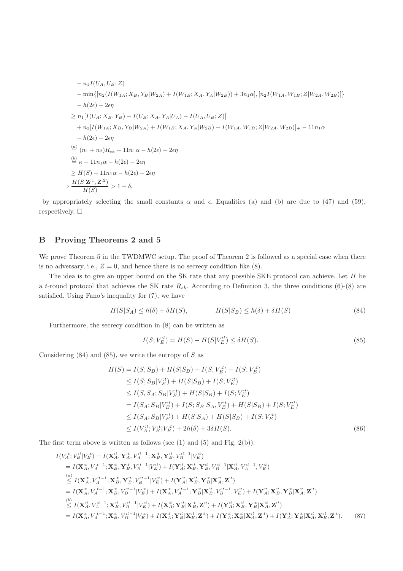$$
- n_1 I(U_A, U_B; Z)
$$
  
\n
$$
- \min \{ [n_2(I(W_{1A}; X_B, Y_B | W_{2A}) + I(W_{1B}; X_A, Y_A | W_{2B})) + 3n_1 \alpha], [n_2 I(W_{1A}, W_{1B}; Z | W_{2A}, W_{2B})] \}
$$
  
\n
$$
- h(2\epsilon) - 2\epsilon \eta
$$
  
\n
$$
\ge n_1 [I(U_A; X_B, Y_B) + I(U_B; X_A, Y_A | U_A) - I(U_A, U_B; Z)]
$$
  
\n
$$
+ n_2 [I(W_{1A}; X_B, Y_B | W_{2A}) + I(W_{1B}; X_A, Y_A | W_{2B}) - I(W_{1A}, W_{1B}; Z | W_{2A}, W_{2B})] + - 11n_1 \alpha
$$
  
\n
$$
- h(2\epsilon) - 2\epsilon \eta
$$
  
\n
$$
\stackrel{(a)}{=} (n_1 + n_2)R_{sk} - 11n_1 \alpha - h(2\epsilon) - 2\epsilon \eta
$$
  
\n
$$
\stackrel{(b)}{=} \kappa - 11n_1 \alpha - h(2\epsilon) - 2\epsilon \eta
$$
  
\n
$$
\Rightarrow \frac{H(S|Z^1, Z^2)}{H(S)} > 1 - \delta,
$$

by appropriately selecting the small constants  $\alpha$  and  $\epsilon$ . Equalities (a) and (b) are due to (47) and (59), respectively.  $\Box$ 

# B Proving Theorems 2 and 5

We prove Theorem 5 in the TWDMWC setup. The proof of Theorem 2 is followed as a special case when there is no adversary, i.e.,  $Z = 0$ , and hence there is no secrecy condition like  $(8)$ .

The idea is to give an upper bound on the SK rate that any possible SKE protocol can achieve. Let Π be a t-round protocol that achieves the SK rate  $R_{sk}$ . According to Definition 3, the three conditions (6)-(8) are satisfied. Using Fano's inequality for (7), we have

$$
H(S|S_A) \le h(\delta) + \delta H(S), \qquad H(S|S_B) \le h(\delta) + \delta H(S) \tag{84}
$$

Furthermore, the secrecy condition in (8) can be written as

$$
I(S; V_E^{:t}) = H(S) - H(S|V_E^{:t}) \le \delta H(S). \tag{85}
$$

Considering  $(84)$  and  $(85)$ , we write the entropy of S as

$$
H(S) = I(S; S_B) + H(S|S_B) + I(S; V_E^{it}) - I(S; V_E^{it})
$$
  
\n
$$
\leq I(S; S_B | V_E^{it}) + H(S|S_B) + I(S; V_E^{it})
$$
  
\n
$$
\leq I(S, S_A; S_B | V_E^{it}) + H(S|S_B) + I(S; V_E^{it})
$$
  
\n
$$
= I(S_A; S_B | V_E^{it}) + I(S; S_B | S_A, V_E^{it}) + H(S|S_B) + I(S; V_E^{it})
$$
  
\n
$$
\leq I(S_A; S_B | V_E^{it}) + H(S|S_A) + H(S|S_B) + I(S; V_E^{it})
$$
  
\n
$$
\leq I(V_A^{it}; V_B^{it} | V_E^{it}) + 2h(\delta) + 3\delta H(S).
$$
 (86)

The first term above is written as follows (see (1) and (5) and Fig. 2(b)).

$$
I(V_{A}^{,t}, V_{B}^{,t}|V_{E}^{,t}) = I(\mathbf{X}_{A}^{,t}, \mathbf{Y}_{A}^{,t}, V_{A}^{,t-1}; \mathbf{X}_{B}^{,t}, \mathbf{Y}_{B}^{,t}, V_{B}^{,t-1}|V_{E}^{,t})
$$
\n
$$
= I(\mathbf{X}_{A}^{,t}, V_{A}^{,t-1}; \mathbf{X}_{B}^{,t}, \mathbf{Y}_{B}^{,t}, V_{B}^{,t-1}|V_{E}^{,t}) + I(\mathbf{Y}_{A}^{,t}, \mathbf{X}_{B}^{,t}, \mathbf{Y}_{B}^{,t}, V_{B}^{,t-1}|\mathbf{X}_{A}^{,t}, V_{A}^{,t-1}, V_{E}^{,t})
$$
\n
$$
\stackrel{(a)}{\leq} I(\mathbf{X}_{A}^{,t}, V_{A}^{,t-1}; \mathbf{X}_{B}^{,t}, \mathbf{Y}_{B}^{,t}, V_{B}^{,t-1}|V_{E}^{,t}) + I(\mathbf{Y}_{A}^{,t}; \mathbf{X}_{B}^{,t}, \mathbf{Y}_{B}^{,t}|\mathbf{X}_{A}^{,t}, \mathbf{Z}^{,t})
$$
\n
$$
= I(\mathbf{X}_{A}^{,t}, V_{A}^{,t-1}; \mathbf{X}_{B}^{,t}, V_{B}^{,t-1}|V_{E}^{,t}) + I(\mathbf{X}_{A}^{,t}, V_{A}^{,t-1}; \mathbf{Y}_{B}^{,t}|\mathbf{X}_{B}^{,t}, V_{B}^{,t-1}, V_{E}^{,t}) + I(\mathbf{Y}_{A}^{,t}; \mathbf{X}_{B}^{,t}, \mathbf{Y}_{B}^{,t}|\mathbf{X}_{A}^{,t}, \mathbf{Z}^{,t})
$$
\n
$$
\stackrel{(b)}{\leq} I(\mathbf{X}_{A}^{,t}, V_{A}^{,t-1}; \mathbf{X}_{B}^{,t}, V_{B}^{,t-1}|V_{E}^{,t}) + I(\mathbf{X}_{A}^{,t}; \mathbf{Y}_{B}^{,t}|\mathbf{X}_{B}^{,t}, \mathbf{Z}^{,t}) + I(\mathbf{Y}_{A}^{,t}; \mathbf{X}_{B}^{,t}, \mathbf{Y}_{B}^{,t}|\mathbf{X}_{A}^{,
$$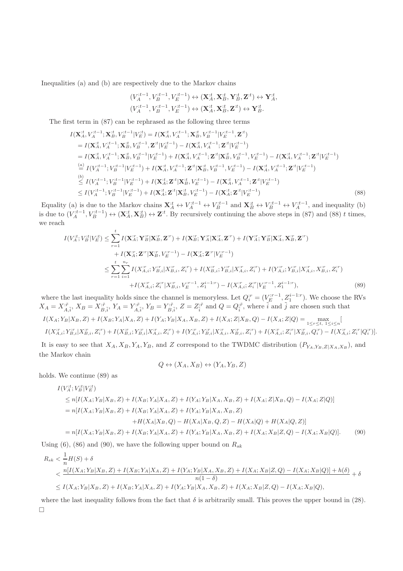Inequalities (a) and (b) are respectively due to the Markov chains

$$
\begin{aligned} (V_A^{it-1}, V_B^{it-1}, V_E^{it-1}) &\leftrightarrow (\mathbf{X}_A^{it}, \mathbf{X}_B^{it}, \mathbf{Y}_B^{it}, \mathbf{Z}^{it}) \leftrightarrow \mathbf{Y}_A^{it}, \\ (V_A^{it-1}, V_B^{it-1}, V_E^{it-1}) &\leftrightarrow (\mathbf{X}_A^{it}, \mathbf{X}_B^{it}, \mathbf{Z}^{it}) \leftrightarrow \mathbf{Y}_B^{it}. \end{aligned}
$$

The first term in (87) can be rephrased as the following three terms

$$
I(\mathbf{X}_{A}^{t}, V_{A}^{t-1}; \mathbf{X}_{B}^{t}, V_{B}^{t-1} | V_{E}^{t}) = I(\mathbf{X}_{A}^{t}, V_{A}^{t-1}; \mathbf{X}_{B}^{t}, V_{B}^{t-1} | V_{E}^{t-1}, \mathbf{Z}^{t})
$$
\n
$$
= I(\mathbf{X}_{A}^{t}, V_{A}^{t-1}; \mathbf{X}_{B}^{t}, V_{B}^{t-1}, \mathbf{Z}^{t} | V_{E}^{t-1}) - I(\mathbf{X}_{A}^{t}, V_{A}^{t-1}; \mathbf{Z}^{t} | V_{E}^{t-1})
$$
\n
$$
= I(\mathbf{X}_{A}^{t}, V_{A}^{t-1}; \mathbf{X}_{B}^{t}, V_{B}^{t-1} | V_{E}^{t-1}) + I(\mathbf{X}_{A}^{t}, V_{A}^{t-1}; \mathbf{Z}^{t} | \mathbf{X}_{B}^{t}, V_{B}^{t-1}, V_{E}^{t-1}) - I(\mathbf{X}_{A}^{t}, V_{A}^{t-1}; \mathbf{Z}^{t} | V_{E}^{t-1})
$$
\n
$$
\stackrel{(a)}{=} I(V_{A}^{t-1}; V_{B}^{t-1} | V_{E}^{t-1}) + I(\mathbf{X}_{A}^{t}, V_{A}^{t-1}; \mathbf{Z}^{t} | \mathbf{X}_{B}^{t}, V_{B}^{t-1}, V_{E}^{t-1}) - I(\mathbf{X}_{A}^{t}, V_{A}^{t-1}; \mathbf{Z}^{t} | V_{E}^{t-1})
$$
\n
$$
\stackrel{(b)}{\leq} I(V_{A}^{t-1}; V_{B}^{t-1} | V_{E}^{t-1}) + I(\mathbf{X}_{A}^{t}; \mathbf{Z}^{t} | \mathbf{X}_{B}^{t}, V_{E}^{t-1}) - I(\mathbf{X}_{A}^{t}; V_{A}^{t-1}; \mathbf{Z}^{t} | V_{E}^{t-1})
$$
\n
$$
\leq I(V_{A}^{t-1}; V_{B}^{t-1} | V_{E}^{t-1}) + I(\mathbf{X}_{A}^{t}; \mathbf{Z}^{t} | \mathbf{X}_{B}^{t}, V_{E}^{t-1}) - I(\mathbf{X}_{A
$$

Equality (a) is due to the Markov chains  $\mathbf{X}_A^{\cdot t} \leftrightarrow V_A^{\cdot t-1} \leftrightarrow V_B^{\cdot t-1}$  and  $\mathbf{X}_B^{\cdot t} \leftrightarrow V_B^{\cdot t-1} \leftrightarrow V_A^{\cdot t-1}$ , and inequality (b) is due to  $(V_A^{t-1}, V_B^{t-1}) \leftrightarrow (\mathbf{X}_A^{t}, \mathbf{X}_B^{t}) \leftrightarrow \mathbf{Z}^{t}$ . By recursively continuing the above steps in (87) and (88) t times, we reach

$$
I(V_A^{,t}; V_B^{,t}|V_E^{,t}) \leq \sum_{r=1}^t I(\mathbf{X}_A^{,r}; \mathbf{Y}_B^{,r}| \mathbf{X}_B^{,r}, \mathbf{Z}^{,r}) + I(\mathbf{X}_B^{,r}; \mathbf{Y}_A^{,r}| \mathbf{X}_A^{,r}, \mathbf{Z}^{,r}) + I(\mathbf{Y}_A^{,r}; \mathbf{Y}_B^{,r}| \mathbf{X}_A^{,r}, \mathbf{X}_B^{,r}, \mathbf{Z}^{,r}) + I(\mathbf{X}_A^{,r}; \mathbf{Z}^{,r}| \mathbf{X}_B^{,r}, V_E^{,r-1}) - I(\mathbf{X}_A^{,r}; \mathbf{Z}^{,r}|V_E^{,r-1}) \n\leq \sum_{r=1}^t \sum_{i=1}^{n_r} I(X_{A,i}^{,r}; Y_{B,i}^{,r}| X_{B,i}^{,r}, Z_i^{,r}) + I(X_{B,i}^{,r}; Y_{B,i}^{,r}| X_{A,i}^{,r}, Z_i^{,r}) + I(Y_{A,i}^{,r}; Y_{B,i}^{,r}| X_{A,i}^{,r}, X_{B,i}^{,r}, Z_i^{,r}) + I(X_{A,i}^{,r}; Z_i^{,r}| X_{B,i}^{,r}, V_E^{,r-1}, Z_1^{i-1:r}) - I(X_{A,i}^{,r}; Z_i^{,r}|V_E^{,r-1}, Z_1^{i-1:r}),
$$
\n(89)

where the last inequality holds since the channel is memoryless. Let  $Q_i^{r} = (V_E^{r-1}, Z_1^{i-1:r})$ . We choose the RVs  $X_A = X_{\overline{A}, \tilde{i}}^{,\tilde{r}}, X_B = Y_{\overline{A}, \tilde{i}}^{,\tilde{r}}, Y_B = Y_{\overline{B}, \tilde{i}}^{,\tilde{r}}, Z = Z_{\tilde{i}}^{;\tilde{r}}$  and  $Q = Q_{\tilde{i}}^{;\tilde{r}},$  where  $\tilde{i}$  and  $\tilde{j}$  are chosen such that  $I(X_A; Y_B | X_B, Z) + I(X_B; Y_A | X_A, Z) + I(Y_A; Y_B | X_A, X_B, Z) + I(X_A; Z | X_B, Q) - I(X_A; Z | Q) = \max_{1 \leq r \leq t, 1 \leq i \leq n} I(X_T; Y_B | X_A, Z) + I(X_B; Z) + I(X_B; Z) + I(X_B; Z)$  $I(X_{A,i}^{:r}; Y_{B,i}^{:r}| X_{B,i}^{:r}, Z_i^{:r}) + I(X_{B,i}^{:r}; Y_{B,i}^{:r}| X_{A,i}^{:r}, Z_i^{:r}) + I(Y_{A,i}^{:r}; Y_{B,i}^{:r}| X_{A,i}^{:r}, X_{B,i}^{:r}, Z_i^{:r}) + I(X_{A,i}^{:r}; Z_i^{:r}| X_{B,i}^{:r}, Q_i^{:r}) - I(X_{A,i}^{:r}; Z_i^{:r}| Q_i^{:r})].$ 

It is easy to see that  $X_A, X_B, Y_A, Y_B$ , and Z correspond to the TWDMC distribution  $(P_{Y_A, Y_B, Z|X_A, X_B})$ , and the Markov chain

$$
Q \leftrightarrow (X_A, X_B) \leftrightarrow (Y_A, Y_B, Z)
$$

holds. We continue (89) as

$$
I(V_A^{,t}; V_B^{,t}|V_E^{,t})
$$
  
\n
$$
\leq n[I(X_A; Y_B|X_B, Z) + I(X_B; Y_A|X_A, Z) + I(Y_A; Y_B|X_A, X_B, Z) + I(X_A; Z|X_B, Q) - I(X_A; Z|Q)]
$$
  
\n
$$
= n[I(X_A; Y_B|X_B, Z) + I(X_B; Y_A|X_A, Z) + I(Y_A; Y_B|X_A, X_B, Z)
$$
  
\n
$$
+ H(X_A|X_B, Q) - H(X_A|X_B, Q, Z) - H(X_A|Q) + H(X_A|Q, Z)]
$$
  
\n
$$
= n[I(X_A; Y_B|X_B, Z) + I(X_B; Y_A|X_A, Z) + I(Y_A; Y_B|X_A, X_B, Z) + I(X_A; X_B|Z, Q) - I(X_A; X_B|Q)].
$$
 (90)

Using (6), (86) and (90), we have the following upper bound on  $R_{sk}$ 

$$
R_{sk} < \frac{1}{n}H(S) + \delta
$$
\n
$$
\langle \frac{n[I(X_A; Y_B | X_B, Z) + I(X_B; Y_A | X_A, Z) + I(Y_A; Y_B | X_A, X_B, Z) + I(X_A; X_B | Z, Q) - I(X_A; X_B | Q)] + h(\delta)}{n(1 - \delta)} + \delta
$$
\n
$$
\leq I(X_A; Y_B | X_B, Z) + I(X_B; Y_A | X_A, Z) + I(Y_A; Y_B | X_A, X_B, Z) + I(X_A; X_B | Z, Q) - I(X_A; X_B | Q),
$$

where the last inequality follows from the fact that  $\delta$  is arbitrarily small. This proves the upper bound in (28).  $\Box$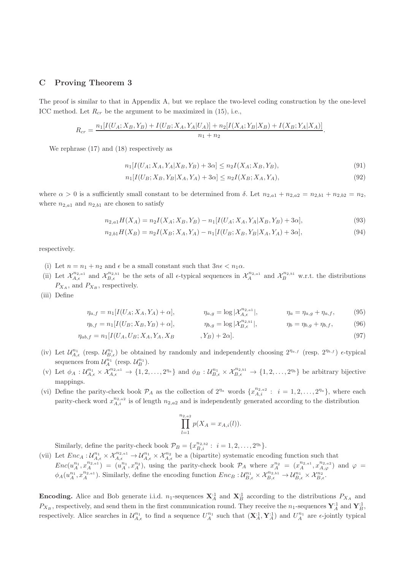# C Proving Theorem 3

The proof is similar to that in Appendix A, but we replace the two-level coding construction by the one-level ICC method. Let  $R_{cr}$  be the argument to be maximized in (15), i.e.,

$$
R_{cr} = \frac{n_1[I(U_A; X_B, Y_B) + I(U_B; X_A, Y_A | U_A)] + n_2[I(X_A; Y_B | X_B) + I(X_B; Y_A | X_A)]}{n_1 + n_2}.
$$

We rephrase (17) and (18) respectively as

$$
n_1[I(U_A; X_A, Y_A | X_B, Y_B) + 3\alpha] \le n_2 I(X_A; X_B, Y_B),\tag{91}
$$

$$
n_1[I(U_B; X_B, Y_B | X_A, Y_A) + 3\alpha] \le n_2 I(X_B; X_A, Y_A),\tag{92}
$$

where  $\alpha > 0$  is a sufficiently small constant to be determined from  $\delta$ . Let  $n_{2,a1} + n_{2,a2} = n_{2,b1} + n_{2,b2} = n_2$ , where  $n_{2,a1}$  and  $n_{2,b1}$  are chosen to satisfy

$$
n_{2,a1}H(X_A) = n_2I(X_A; X_B, Y_B) - n_1[I(U_A; X_A, Y_A | X_B, Y_B) + 3\alpha],
$$
\n(93)

$$
n_{2,b1}H(X_B) = n_2I(X_B; X_A, Y_A) - n_1[I(U_B; X_B, Y_B | X_A, Y_A) + 3\alpha],
$$
\n(94)

respectively.

- (i) Let  $n = n_1 + n_2$  and  $\epsilon$  be a small constant such that  $3n\epsilon < n_1\alpha$ .
- (ii) Let  $\mathcal{X}_{A,\epsilon}^{n_{2,a1}}$  and  $\mathcal{X}_{B,\epsilon}^{n_{2,b1}}$  be the sets of all  $\epsilon$ -typical sequences in  $\mathcal{X}_{A}^{n_{2,a1}}$  and  $\mathcal{X}_{B}^{n_{2,b1}}$  w.r.t. the distributions  $P_{X_A}$ , and  $P_{X_B}$ , respectively.
- (iii) Define

$$
\eta_{a,f} = n_1[I(U_A; X_A, Y_A) + \alpha], \qquad \eta_{a,g} = \log |\mathcal{X}_{A,\epsilon}^{n_{2,a1}}|, \qquad \eta_a = \eta_{a,g} + \eta_{a,f}, \qquad (95)
$$

$$
\eta_{b,f} = n_1[I(U_B; X_B, Y_B) + \alpha], \qquad \eta_{b,g} = \log |\mathcal{X}_{B,\epsilon}^{n_2, b_1}|, \qquad \eta_b = \eta_{b,g} + \eta_{b,f}, \qquad (96)
$$

$$
\eta_{ab,f} = n_1[I(U_A, U_B; X_A, Y_A, X_B \qquad , Y_B) + 2\alpha].
$$
\n(97)

- (iv) Let  $\mathcal{U}_{A,\epsilon}^{n_1}$  (resp.  $\mathcal{U}_{B,\epsilon}^{n_1}$ ) be obtained by randomly and independently choosing  $2^{n_{a,f}}$  (resp.  $2^{n_{b,f}}$ )  $\epsilon$ -typical sequences from  $\mathcal{U}_A^{n_1}$  (resp.  $\mathcal{U}_B^{n_1}$ ).
- (v) Let  $\phi_A: \mathcal{U}_{A,\epsilon}^{n_1} \times \mathcal{X}_{A,\epsilon}^{n_2,a_1} \to \{1,2,\ldots,2^{n_a}\}$  and  $\phi_B: \mathcal{U}_{B,\epsilon}^{n_1} \times \mathcal{X}_{B,\epsilon}^{n_2,a_1} \to \{1,2,\ldots,2^{n_b}\}$  be arbitrary bijective mappings.
- (vi) Define the parity-check book  $\mathcal{P}_A$  as the collection of  $2^{\eta_a}$  words  $\{x_{A,i}^{n_{2,a_2}}: i=1,2,\ldots,2^{\eta_a}\}$ , where each parity-check word  $x_{A,i}^{n_{2,a2}}$  is of length  $n_{2,a2}$  and is independently generated according to the distribution

$$
\prod_{l=1}^{n_{2,a2}} p(X_A = x_{A,i}(l)).
$$

Similarly, define the parity-check book  $\mathcal{P}_B = \{x_{B,i}^{n_{2,b_2}} : i = 1, 2, ..., 2^{n_b}\}.$ 

(vii) Let  $Enc_A: \mathcal{U}_{A,\epsilon}^{n_1} \times \mathcal{X}_{A,\epsilon}^{n_2,1} \to \mathcal{U}_{A,\epsilon}^{n_1} \times \mathcal{X}_{A,\epsilon}^{n_2}$  be a (bipartite) systematic encoding function such that  $Enc(u_A^{n_1}, x_A^{n_2,1}) = (u_A^{n_1}, x_A^{n_2}),$  using the parity-check book  $P_A$  where  $x_A^{n_2} = (x_A^{n_2,1}, x_{A,\varphi}^{n_2,1})$  and  $\varphi =$  $\phi_A(u_A^{n_1}, x_A^{n_{2,a_1}})$ . Similarly, define the encoding function  $Enc_B: \mathcal{U}_{B,\epsilon}^{n_1} \times \mathcal{X}_{B,\epsilon}^{n_{2,b_1}} \to \mathcal{U}_{B,\epsilon}^{n_1} \times \mathcal{X}_{B,\epsilon}^{n_2}$ .

**Encoding.** Alice and Bob generate i.i.d.  $n_1$ -sequences  $\mathbf{X}_A^{:1}$  and  $\mathbf{X}_B^{:1}$  according to the distributions  $P_{X_A}$  and  $P_{X_B}$ , respectively, and send them in the first communication round. They receive the  $n_1$ -sequences  $\mathbf{Y}_A^{\cdot 1}$  and  $\mathbf{Y}_B^{\cdot 1}$ , respectively. Alice searches in  $\mathcal{U}_{A,\epsilon}^{n_1}$  to find a sequence  $U_A^{n_1}$  such that  $(\mathbf{X}_A^{\cdot 1}, \mathbf{Y}_A^{\cdot 1})$  and  $U_A^{n_1}$  are  $\epsilon$ -jointly typical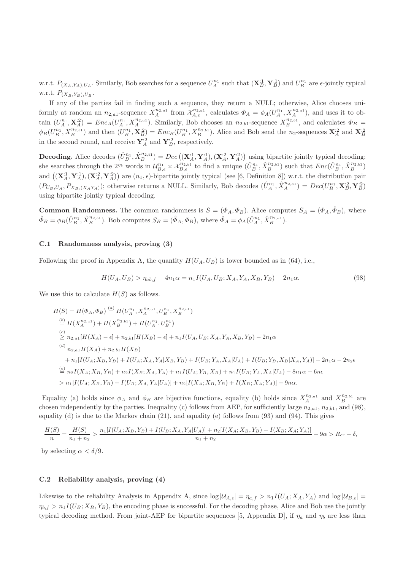w.r.t.  $P_{(X_A,Y_A),U_A}$ . Similarly, Bob searches for a sequence  $U_A^{n_1}$  such that  $(\mathbf{X}_{B}^{:1}, \mathbf{Y}_{B}^{:1})$  and  $U_B^{n_1}$  are  $\epsilon$ -jointly typical w.r.t.  $P_{(X_B,Y_B),U_B}$ .

If any of the parties fail in finding such a sequence, they return a NULL; otherwise, Alice chooses uniformly at random an  $n_{2,a}$ -sequence  $X_A^{n_{2,a1}}$  from  $\mathcal{X}_{A,\epsilon}^{n_{2,a1}}$ , calculates  $\Phi_A = \phi_A(U_A^{n_1}, X_A^{n_{2,a1}})$ , and uses it to obtain  $(U_A^{n_1}, \mathbf{X}_A^{i_2}) = Enc_A(U_A^{n_1}, X_A^{n_2, a_1})$ . Similarly, Bob chooses an  $n_{2,b1}$ -sequence  $X_B^{n_2, b_1}$ , and calculates  $\Phi_B$  =  $\phi_B(U_B^{n_1}, X_B^{n_2, b_1})$  and then  $(U_B^{n_1}, \mathbf{X}_B^{i_2}) = Enc_B(U_B^{n_1}, X_B^{n_2, b_1})$ . Alice and Bob send the n<sub>2</sub>-sequences  $\mathbf{X}_A^{i_2}$  and  $\mathbf{X}_B^{i_2}$ in the second round, and receive  $\mathbf{Y}_{A}^{:2}$  and  $\mathbf{Y}_{B}^{:2}$ , respectively.

**Decoding.** Alice decodes  $(\hat{U}_{B}^{n_1}, \hat{X}_{B}^{n_{2,b1}}) = Dec((\mathbf{X}_{A}^{:1}, \mathbf{Y}_{A}^{:1}), (\mathbf{X}_{A}^{:2}, \mathbf{Y}_{A}^{:2}))$  using bipartite jointly typical decoding: she searches through the  $2^{n_b}$  words in  $\mathcal{U}_{B,\epsilon}^{n_1} \times \mathcal{X}_{B,\epsilon}^{n_2,\delta_1}$  to find a unique  $(\hat{U}_{B}^{n_1}, \hat{X}_{B}^{n_2,\delta_1})$  such that  $Enc(\hat{U}_{B}^{n_1}, \hat{X}_{B}^{n_2,\delta_1})$ and  $((\mathbf{X}_A^{\cdot 1}, \mathbf{Y}_A^{\cdot 1}), (\mathbf{X}_A^{\cdot 2}, \mathbf{Y}_A^{\cdot 2})$  are  $(n_1, \epsilon)$ -bipartite jointly typical (see [6, Definition 8]) w.r.t. the distribution pair  $(P_{U_B, U_A}, P_{X_B, (X_A Y_A)})$ ; otherwise returns a NULL. Similarly, Bob decodes  $(\hat{U}_A^{n_1}, \hat{X}_A^{n_{2, a_1}}) = Dec(U_B^{n_1}, \mathbf{X}_B^{\cdot 2}, \mathbf{Y}_B^{\cdot 2})$ using bipartite jointly typical decoding.

**Common Randomness.** The common randomness is  $S = (\Phi_A, \Phi_B)$ . Alice computes  $S_A = (\Phi_A, \hat{\Phi}_B)$ , where  $\hat{\Phi}_B = \phi_B(\hat{U}_B^{n_1}, \hat{X}_B^{n_2, \text{th}})$ . Bob computes  $S_B = (\hat{\Phi}_A, \Phi_B)$ , where  $\hat{\Phi}_A = \phi_A(\hat{U}_A^{n_1}, \hat{X}_B^{n_2, \text{th}})$ .

### C.1 Randomness analysis, proving (3)

Following the proof in Appendix A, the quantity  $H(U_A, U_B)$  is lower bounded as in (64), i.e.,

$$
H(U_A, U_B) > \eta_{ab,f} - 4n_1\alpha = n_1I(U_A, U_B; X_A, Y_A, X_B, Y_B) - 2n_1\alpha.
$$
\n(98)

We use this to calculate  $H(S)$  as follows.

$$
H(S) = H(\Phi_A, \Phi_B) \stackrel{(a)}{=} H(U_A^{n_1}, X_A^{n_2, a_1}, U_B^{n_1}, X_B^{n_2, b_1})
$$
  
\n
$$
\stackrel{(b)}{=} H(X_A^{n_2, a_1}) + H(X_B^{n_2, b_1}) + H(U_A^{n_1}, U_B^{n_1})
$$
  
\n
$$
\stackrel{(c)}{\geq} n_{2, a_1}[H(X_A) - \epsilon] + n_{2, b_1}[H(X_B) - \epsilon] + n_1I(U_A, U_B; X_A, Y_A, X_B, Y_B) - 2n_1\alpha
$$
  
\n
$$
\stackrel{(d)}{=} n_{2, a_1}H(X_A) + n_{2, b_1}H(X_B)
$$
  
\n
$$
+ n_1[I(U_A; X_B, Y_B) + I(U_A; X_A, Y_A | X_B, Y_B) + I(U_B; Y_A, X_A | U_A) + I(U_B; Y_B, X_B | X_A, Y_A)] - 2n_1\alpha - 2n_2\epsilon
$$
  
\n
$$
\stackrel{(e)}{=} n_2I(X_A; X_B, Y_B) + n_2I(X_B; X_A, Y_A) + n_1I(U_A; Y_B, X_B) + n_1I(U_B; Y_A, X_A | U_A) - 8n_1\alpha - 6n\epsilon
$$
  
\n
$$
> n_1[I(U_A; X_B, Y_B) + I(U_B; X_A, Y_A | U_A)] + n_2[I(X_A; X_B, Y_B) + I(X_B; X_A; Y_A)] - 9n\alpha.
$$

Equality (a) holds since  $\phi_A$  and  $\phi_B$  are bijective functions, equality (b) holds since  $X_A^{n_{2,a1}}$  and  $X_B^{n_{2,b1}}$  are chosen independently by the parties. Inequality (c) follows from AEP, for sufficiently large  $n_{2,a1}$ ,  $n_{2,b1}$ , and (98), equality (d) is due to the Markov chain (21), and equality (e) follows from (93) and (94). This gives

$$
\frac{H(S)}{n} = \frac{H(S)}{n_1 + n_2} > \frac{n_1[I(U_A; X_B, Y_B) + I(U_B; X_A, Y_A | U_A)] + n_2[I(X_A; X_B, Y_B) + I(X_B; X_A; Y_A)]}{n_1 + n_2} - 9\alpha > R_{cr} - \delta,
$$

by selecting  $\alpha < \delta/9$ .

# C.2 Reliability analysis, proving (4)

Likewise to the reliability Analysis in Appendix A, since  $\log|\mathcal{U}_{A,\epsilon}| = \eta_{a,f} > n_1 I(U_A; X_A, Y_A)$  and  $\log|\mathcal{U}_{B,\epsilon}| =$  $\eta_{b,f} > n_1 I(U_B; X_B, Y_B)$ , the encoding phase is successful. For the decoding phase, Alice and Bob use the jointly typical decoding method. From joint-AEP for bipartite sequences [5, Appendix D], if  $\eta_a$  and  $\eta_b$  are less than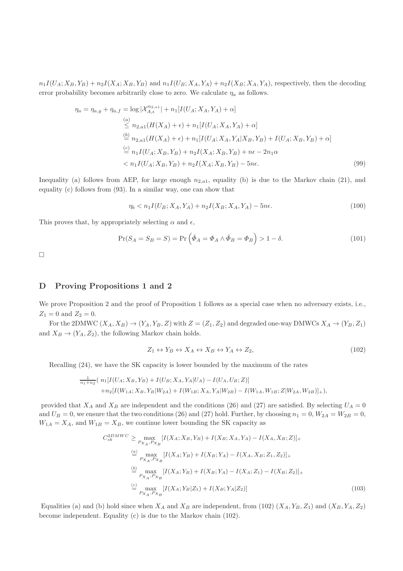$n_1I(U_A; X_B, Y_B) + n_2I(X_A; X_B, Y_B)$  and  $n_1I(U_B; X_A, Y_A) + n_2I(X_B; X_A, Y_A)$ , respectively, then the decoding error probability becomes arbitrarily close to zero. We calculate  $\eta_a$  as follows.

$$
\eta_a = \eta_{a,g} + \eta_{a,f} = \log |\mathcal{X}_{A,\epsilon}^{n_{2,a1}}| + n_1[I(U_A; X_A, Y_A) + \alpha]
$$
  
\n
$$
\leq n_{2,a1}(H(X_A) + \epsilon) + n_1[I(U_A; X_A, Y_A) + \alpha]
$$
  
\n
$$
\stackrel{(b)}{=} n_{2,a1}(H(X_A) + \epsilon) + n_1[I(U_A; X_A, Y_A | X_B, Y_B) + I(U_A; X_B, Y_B) + \alpha]
$$
  
\n
$$
\stackrel{(c)}{=} n_1I(U_A; X_B, Y_B) + n_2I(X_A; X_B, Y_B) + n\epsilon - 2n_1\alpha
$$
  
\n
$$
< n_1I(U_A; X_B, Y_B) + n_2I(X_A; X_B, Y_B) - 5n\epsilon.
$$
  
\n(99)

Inequality (a) follows from AEP, for large enough  $n_{2,a}$ , equality (b) is due to the Markov chain (21), and equality (c) follows from (93). In a similar way, one can show that

$$
\eta_b < n_1 I(U_B; X_A, Y_A) + n_2 I(X_B; X_A, Y_A) - 5n\epsilon. \tag{100}
$$

This proves that, by appropriately selecting  $\alpha$  and  $\epsilon$ ,

$$
\Pr(S_A = S_B = S) = \Pr\left(\hat{\Phi}_A = \Phi_A \wedge \hat{\Phi}_B = \Phi_B\right) > 1 - \delta. \tag{101}
$$

 $\Box$ 

# D Proving Propositions 1 and 2

We prove Proposition 2 and the proof of Proposition 1 follows as a special case when no adversary exists, i.e.,  $Z_1 = 0$  and  $Z_2 = 0$ .

For the 2DMWC  $(X_A, X_B) \to (Y_A, Y_B, Z)$  with  $Z = (Z_1, Z_2)$  and degraded one-way DMWCs  $X_A \to (Y_B, Z_1)$ and  $X_B \to (Y_A, Z_2)$ , the following Markov chain holds.

$$
Z_1 \leftrightarrow Y_B \leftrightarrow X_A \leftrightarrow X_B \leftrightarrow Y_A \leftrightarrow Z_2,\tag{102}
$$

Recalling (24), we have the SK capacity is lower bounded by the maximum of the rates

$$
\frac{1}{n_1+n_2}( n_1[I(U_A; X_B, Y_B) + I(U_B; X_A, Y_A | U_A) - I(U_A, U_B; Z)] + n_2[I(W_{1A}; X_B, Y_B | W_{2A}) + I(W_{1B}; X_A, Y_A | W_{2B}) - I(W_{1A}, W_{1B}; Z | W_{2A}, W_{2B})]_{+}),
$$

provided that  $X_A$  and  $X_B$  are independent and the conditions (26) and (27) are satisfied. By selecting  $U_A = 0$ and  $U_B = 0$ , we ensure that the two conditions (26) and (27) hold. Further, by choosing  $n_1 = 0$ ,  $W_{2A} = W_{2B} = 0$ ,  $W_{1A} = X_A$ , and  $W_{1B} = X_B$ , we continue lower bounding the SK capacity as

$$
C_{sk}^{2DMWC} \ge \max_{P_{X_A}, P_{X_B}} [I(X_A; X_B, Y_B) + I(X_B; X_A, Y_A) - I(X_A, X_B; Z)]_+
$$
  
\n
$$
\stackrel{(a)}{=} \max_{P_{X_A}, P_{X_B}} [I(X_A; Y_B) + I(X_B; Y_A) - I(X_A, X_B; Z_1, Z_2)]_+
$$
  
\n
$$
\stackrel{(b)}{=} \max_{P_{X_A}, P_{X_B}} [I(X_A; Y_B) + I(X_B; Y_A) - I(X_A; Z_1) - I(X_B; Z_2)]_+
$$
  
\n
$$
\stackrel{(c)}{=} \max_{P_{X_A}, P_{X_B}} [I(X_A; Y_B | Z_1) + I(X_B; Y_A | Z_2)]
$$
\n(103)

Equalities (a) and (b) hold since when  $X_A$  and  $X_B$  are independent, from (102)  $(X_A, Y_B, Z_1)$  and  $(X_B, Y_A, Z_2)$ become independent. Equality (c) is due to the Markov chain (102).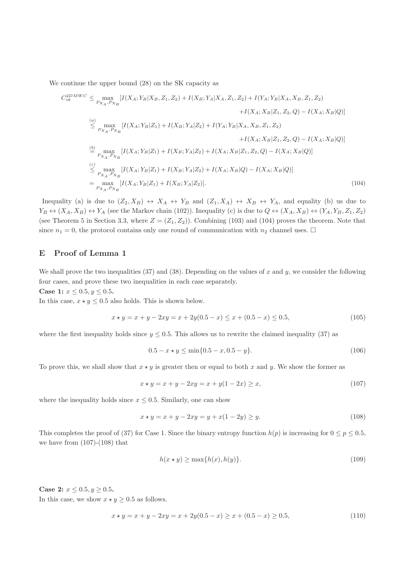We continue the upper bound (28) on the SK capacity as

$$
C_{sk}^{2DMWC} \leq \max_{P_{X_A}, P_{X_B}} [I(X_A; Y_B | X_B, Z_1, Z_2) + I(X_B; Y_A | X_A, Z_1, Z_2) + I(Y_A; Y_B | X_A, X_B, Z_1, Z_2)
$$

$$
+ I(X_A; X_B | Z_1, Z_2, Q) - I(X_A; X_B | Q)]
$$

$$
\leq \max_{P_{X_A}, P_{X_B}} [I(X_A; Y_B | Z_1) + I(X_B; Y_A | Z_2) + I(Y_A; Y_B | X_A, X_B, Z_1, Z_2)
$$

$$
+ I(X_A; X_B | Z_1, Z_2, Q) - I(X_A; X_B | Q)]
$$

$$
\leq \max_{P_{X_A}, P_{X_B}} [I(X_A; Y_B | Z_1) + I(X_B; Y_A | Z_2) + I(X_A; X_B | Z_1, Z_2, Q) - I(X_A; X_B | Q)]
$$

$$
\leq \max_{P_{X_A}, P_{X_B}} [I(X_A; Y_B | Z_1) + I(X_B; Y_A | Z_2) + I(X_A; X_B | Q) - I(X_A; X_B | Q)]
$$

$$
= \max_{P_{X_A}, P_{X_B}} [I(X_A; Y_B | Z_1) + I(X_B; Y_A | Z_2)]
$$

$$
(104)
$$

Inequality (a) is due to  $(Z_2, X_B) \leftrightarrow X_A \leftrightarrow Y_B$  and  $(Z_1, X_A) \leftrightarrow X_B \leftrightarrow Y_A$ , and equality (b) us due to  $Y_B \leftrightarrow (X_A, X_B) \leftrightarrow Y_A$  (see the Markov chain (102)). Inequality (c) is due to  $Q \leftrightarrow (X_A, X_B) \leftrightarrow (Y_A, Y_B, Z_1, Z_2)$ (see Theorem 5 in Section 3.3, where  $Z = (Z_1, Z_2)$ ). Combining (103) and (104) proves the theorem. Note that since  $n_1 = 0$ , the protocol contains only one round of communication with  $n_2$  channel uses.  $\Box$ 

# E Proof of Lemma 1

We shall prove the two inequalities (37) and (38). Depending on the values of x and y, we consider the following four cases, and prove these two inequalities in each case separately.

Case 1:  $x \le 0.5, y \le 0.5$ .

In this case,  $x \star y \leq 0.5$  also holds. This is shown below.

$$
x \star y = x + y - 2xy = x + 2y(0.5 - x) \le x + (0.5 - x) \le 0.5,\tag{105}
$$

where the first inequality holds since  $y \le 0.5$ . This allows us to rewrite the claimed inequality (37) as

$$
0.5 - x \star y \le \min\{0.5 - x, 0.5 - y\}.\tag{106}
$$

To prove this, we shall show that  $x \star y$  is greater then or equal to both x and y. We show the former as

$$
x \star y = x + y - 2xy = x + y(1 - 2x) \ge x,\tag{107}
$$

where the inequality holds since  $x \leq 0.5$ . Similarly, one can show

$$
x \star y = x + y - 2xy = y + x(1 - 2y) \ge y.
$$
\n(108)

This completes the proof of (37) for Case 1. Since the binary entropy function  $h(p)$  is increasing for  $0 \le p \le 0.5$ , we have from  $(107)-(108)$  that

$$
h(x \star y) \ge \max\{h(x), h(y)\}.\tag{109}
$$

Case 2:  $x \le 0.5, y \ge 0.5$ . In this case, we show  $x \star y \geq 0.5$  as follows.

$$
x \star y = x + y - 2xy = x + 2y(0.5 - x) \ge x + (0.5 - x) \ge 0.5,\tag{110}
$$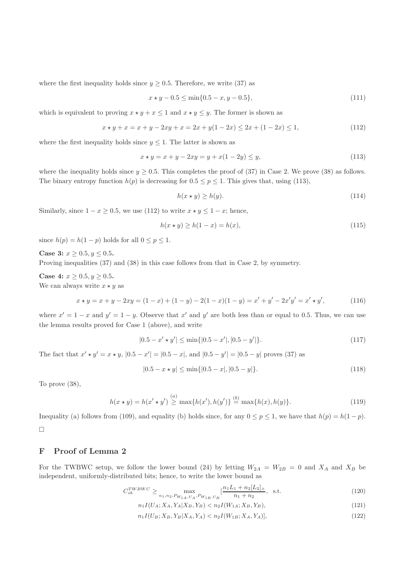where the first inequality holds since  $y \geq 0.5$ . Therefore, we write (37) as

$$
x \star y - 0.5 \le \min\{0.5 - x, y - 0.5\},\tag{111}
$$

which is equivalent to proving  $x \star y + x \leq 1$  and  $x \star y \leq y$ . The former is shown as

$$
x \star y + x = x + y - 2xy + x = 2x + y(1 - 2x) \le 2x + (1 - 2x) \le 1,
$$
\n(112)

where the first inequality holds since  $y \leq 1$ . The latter is shown as

$$
x \star y = x + y - 2xy = y + x(1 - 2y) \le y,\tag{113}
$$

where the inequality holds since  $y \ge 0.5$ . This completes the proof of (37) in Case 2. We prove (38) as follows. The binary entropy function  $h(p)$  is decreasing for  $0.5 \le p \le 1$ . This gives that, using (113),

$$
h(x \star y) \ge h(y). \tag{114}
$$

Similarly, since  $1 - x \ge 0.5$ , we use (112) to write  $x \star y \le 1 - x$ ; hence,

$$
h(x \star y) \ge h(1-x) = h(x),\tag{115}
$$

since  $h(p) = h(1-p)$  holds for all  $0 \le p \le 1$ .

Case 3:  $x > 0.5, y \le 0.5$ .

Proving inequalities (37) and (38) in this case follows from that in Case 2, by symmetry.

Case 4:  $x \ge 0.5, y \ge 0.5$ .

We can always write  $x \star y$  as

$$
x \star y = x + y - 2xy = (1 - x) + (1 - y) - 2(1 - x)(1 - y) = x' + y' - 2x'y' = x' \star y',
$$
(116)

where  $x' = 1 - x$  and  $y' = 1 - y$ . Observe that x' and y' are both less than or equal to 0.5. Thus, we can use the lemma results proved for Case 1 (above), and write

$$
|0.5 - x' \star y'| \le \min\{|0.5 - x'|, |0.5 - y'|\}. \tag{117}
$$

The fact that  $x' \star y' = x \star y$ ,  $|0.5 - x'| = |0.5 - x|$ , and  $|0.5 - y'| = |0.5 - y|$  proves (37) as

$$
|0.5 - x \star y| \le \min\{|0.5 - x|, |0.5 - y|\}.
$$
\n(118)

To prove (38),

$$
h(x \star y) = h(x' \star y') \stackrel{(a)}{\geq} \max\{h(x'), h(y')\} \stackrel{(b)}{=} \max\{h(x), h(y)\}.
$$
 (119)

Inequality (a) follows from (109), and equality (b) holds since, for any  $0 \le p \le 1$ , we have that  $h(p) = h(1-p)$ .  $\Box$ 

# F Proof of Lemma 2

For the TWBWC setup, we follow the lower bound (24) by letting  $W_{2A} = W_{2B} = 0$  and  $X_A$  and  $X_B$  be independent, uniformly-distributed bits; hence, to write the lower bound as

$$
C_{sk}^{TWBWC} \ge \max_{n_1, n_2, P_{W_{1A}, U_A}, P_{W_{1B}, U_B}} \left[ \frac{n_1 L_1 + n_2 [L_2]_+}{n_1 + n_2}, \text{ s.t. } \right] \tag{120}
$$

$$
n_1 I(U_A; X_A, Y_A | X_B, Y_B) < n_2 I(W_{1A}; X_B, Y_B),\tag{121}
$$

$$
n_1 I(U_B; X_B, Y_B | X_A, Y_A) < n_2 I(W_{1B}; X_A, Y_A)],\tag{122}
$$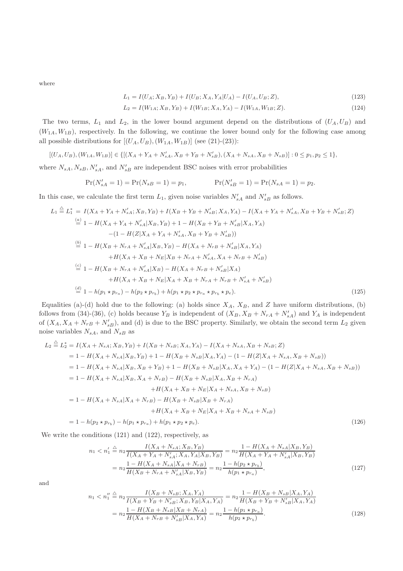where

$$
L_1 = I(U_A; X_B, Y_B) + I(U_B; X_A, Y_A | U_A) - I(U_A, U_B; Z), \tag{123}
$$

$$
L_2 = I(W_{1A}; X_B, Y_B) + I(W_{1B}; X_A, Y_A) - I(W_{1A}, W_{1B}; Z). \tag{124}
$$

The two terms,  $L_1$  and  $L_2$ , in the lower bound argument depend on the distributions of  $(U_A, U_B)$  and  $(W_{1A}, W_{1B})$ , respectively. In the following, we continue the lower bound only for the following case among all possible distributions for  $[(U_A, U_B), (W_{1A}, W_{1B})]$  (see (21)-(23)):

$$
[(U_A, U_B), (W_{1A}, W_{1B})] \in \{ [(X_A + Y_A + N'_{sA}, X_B + Y_B + N'_{sB}), (X_A + N_{sA}, X_B + N_{sB})] : 0 \le p_1, p_2 \le 1 \},
$$

where  $N_{sA}, N_{sB}, N'_{sA}$ , and  $N'_{sB}$  are independent BSC noises with error probabilities

$$
Pr(N'_{sA} = 1) = Pr(N_{sB} = 1) = p_1, \qquad Pr(N'_{sB} = 1) = Pr(N_{sA} = 1) = p_2.
$$

In this case, we calculate the first term  $L_1$ , given noise variables  $N'_{sA}$  and  $N'_{sB}$  as follows.

$$
L_{1} \stackrel{\triangle}{=} L_{1}^{*} = I(X_{A} + Y_{A} + N'_{sA}; X_{B}, Y_{B}) + I(X_{B} + Y_{B} + N'_{sB}; X_{A}, Y_{A}) - I(X_{A} + Y_{A} + N'_{sA}, X_{B} + Y_{B} + N'_{sB}; Z)
$$
  
\n
$$
\stackrel{(a)}{=} 1 - H(X_{A} + Y_{A} + N'_{sA} | X_{B}, Y_{B}) + 1 - H(X_{B} + Y_{B} + N'_{sB} | X_{A}, Y_{A})
$$
  
\n
$$
- (1 - H(Z | X_{A} + Y_{A} + N'_{sA}, X_{B} + Y_{B} + N'_{sB}))
$$
  
\n
$$
\stackrel{(b)}{=} 1 - H(X_{B} + N_{rA} + N'_{sA} | X_{B}, Y_{B}) - H(X_{A} + N_{rB} + N'_{sB} | X_{A}, Y_{A})
$$
  
\n
$$
+ H(X_{A} + X_{B} + N_{E} | X_{B} + N_{rA} + N'_{sA}, X_{A} + N_{rB} + N'_{sB})
$$
  
\n
$$
\stackrel{(c)}{=} 1 - H(X_{B} + N_{rA} + N'_{sA} | X_{B}) - H(X_{A} + N_{rB} + N'_{sB} | X_{A})
$$
  
\n
$$
+ H(X_{A} + X_{B} + N_{E} | X_{A} + X_{B} + N_{rA} + N_{rB} + N'_{sA} + N'_{sB})
$$
  
\n
$$
\stackrel{(d)}{=} 1 - h(p_{1} * p_{r_{a}}) - h(p_{2} * p_{r_{b}}) + h(p_{1} * p_{2} * p_{r_{a}} * p_{r_{b}} * p_{e}).
$$
  
\n(125)

Equalities (a)-(d) hold due to the following: (a) holds since  $X_A$ ,  $X_B$ , and Z have uniform distributions, (b) follows from (34)-(36), (c) holds because  $Y_B$  is independent of  $(X_B, X_B + N_{rA} + N'_{sA})$  and  $Y_A$  is independent of  $(X_A, X_A + N_{rB} + N'_{sB})$ , and (d) is due to the BSC property. Similarly, we obtain the second term  $L_2$  given noise variables  $N_{sA}$ , and  $N_{sB}$  as

$$
L_2 \stackrel{\triangle}{=} L_2^* = I(X_A + N_{sA}; X_B, Y_B) + I(X_B + N_{sB}; X_A, Y_A) - I(X_A + N_{sA}, X_B + N_{sB}; Z)
$$
  
\n
$$
= 1 - H(X_A + N_{sA}|X_B, Y_B) + 1 - H(X_B + N_{sB}|X_A, Y_A) - (1 - H(Z|X_A + N_{sA}, X_B + N_{sB}))
$$
  
\n
$$
= 1 - H(X_A + N_{sA}|X_B, X_B + Y_B) + 1 - H(X_B + N_{sB}|X_A, X_A + Y_A) - (1 - H(Z|X_A + N_{sA}, X_B + N_{sB}))
$$
  
\n
$$
= 1 - H(X_A + N_{sA}|X_B, X_A + N_{rB}) - H(X_B + N_{sB}|X_A, X_B + N_{rA})
$$
  
\n
$$
+ H(X_A + X_B + N_E|X_A + N_{sA}, X_B + N_{sB})
$$
  
\n
$$
= 1 - H(X_A + N_{sA}|X_A + N_{rB}) - H(X_B + N_{sB}|X_B + N_{rA})
$$
  
\n
$$
+ H(X_A + X_B + N_E|X_A + X_B + N_{sA} + N_{sB})
$$
  
\n
$$
= 1 - h(p_2 * p_{r_b}) - h(p_1 * p_{r_a}) + h(p_1 * p_2 * p_e).
$$
 (126)

We write the conditions (121) and (122), respectively, as

$$
n_1 < n_1' \stackrel{\triangle}{=} n_2 \frac{I(X_A + N_{sA}; X_B, Y_B)}{I(X_A + Y_A + N_{sA}'; X_A, Y_A | X_B, Y_B)} = n_2 \frac{1 - H(X_A + N_{sA} | X_B, Y_B)}{H(X_A + Y_A + N_{sA} | X_B, Y_B)} = n_2 \frac{1 - H(X_A + N_{sA} | X_A + N_{rB})}{H(X_B + N_{rA} + N_{sA} | X_B, Y_B)} = n_2 \frac{1 - h(p_2 \star p_{r_b})}{h(p_1 \star p_{r_a})},\tag{127}
$$

and

$$
n_1 < n_1'' \stackrel{\Delta}{=} n_2 \frac{I(X_B + N_{sB}; X_A, Y_A)}{I(X_B + Y_B + N_{sB}'; X_B, Y_B | X_A, Y_A)} = n_2 \frac{1 - H(X_B + N_{sB} | X_A, Y_A)}{H(X_B + Y_B + N_{sB} | X_A, Y_A)} = n_2 \frac{1 - H(X_B + N_{sB} | X_B + N_{rA})}{H(X_A + N_{rB} + N_{sB} | X_A, Y_A)} = n_2 \frac{1 - h(p_1 \star p_{r_a})}{h(p_2 \star p_{r_b})}.
$$
\n
$$
(128)
$$